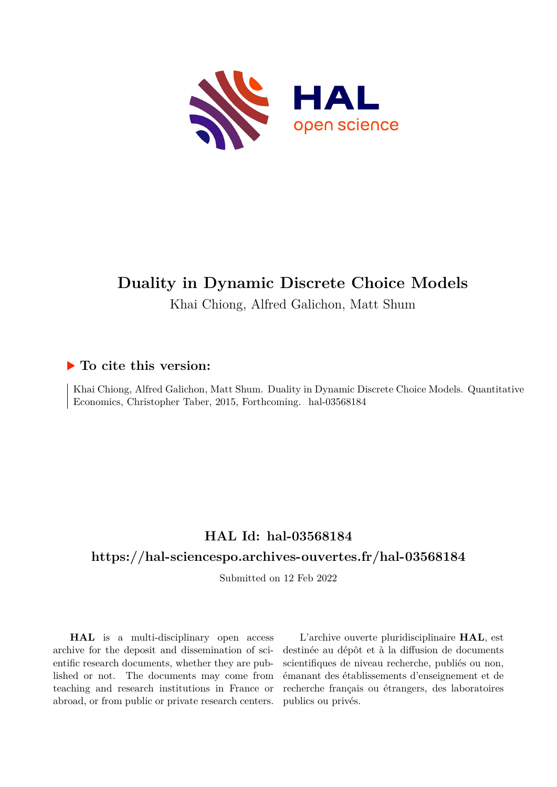

# **Duality in Dynamic Discrete Choice Models**

Khai Chiong, Alfred Galichon, Matt Shum

# **To cite this version:**

Khai Chiong, Alfred Galichon, Matt Shum. Duality in Dynamic Discrete Choice Models. Quantitative Economics, Christopher Taber, 2015, Forthcoming. hal-03568184

# **HAL Id: hal-03568184**

# **<https://hal-sciencespo.archives-ouvertes.fr/hal-03568184>**

Submitted on 12 Feb 2022

**HAL** is a multi-disciplinary open access archive for the deposit and dissemination of scientific research documents, whether they are published or not. The documents may come from teaching and research institutions in France or abroad, or from public or private research centers.

L'archive ouverte pluridisciplinaire **HAL**, est destinée au dépôt et à la diffusion de documents scientifiques de niveau recherche, publiés ou non, émanant des établissements d'enseignement et de recherche français ou étrangers, des laboratoires publics ou privés.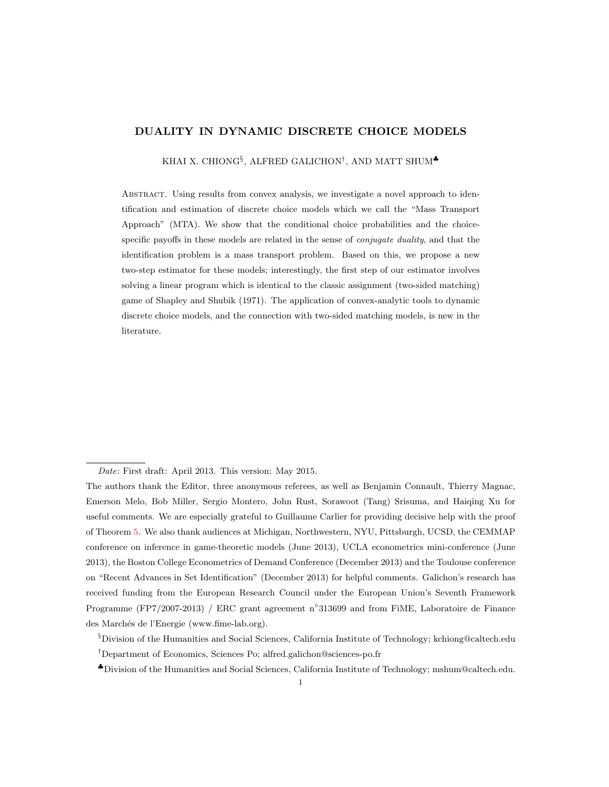# DUALITY IN DYNAMIC DISCRETE CHOICE MODELS

KHAI X. CHIONG<sup>§</sup>, ALFRED GALICHON<sup>†</sup>, AND MATT SHUM<sup>+</sup>

Abstract. Using results from convex analysis, we investigate a novel approach to identification and estimation of discrete choice models which we call the "Mass Transport Approach" (MTA). We show that the conditional choice probabilities and the choicespecific payoffs in these models are related in the sense of *conjugate duality*, and that the identification problem is a mass transport problem. Based on this, we propose a new two-step estimator for these models; interestingly, the first step of our estimator involves solving a linear program which is identical to the classic assignment (two-sided matching) game of Shapley and Shubik (1971). The application of convex-analytic tools to dynamic discrete choice models, and the connection with two-sided matching models, is new in the literature.

Date: First draft: April 2013. This version: May 2015.

The authors thank the Editor, three anonymous referees, as well as Benjamin Connault, Thierry Magnac, Emerson Melo, Bob Miller, Sergio Montero, John Rust, Sorawoot (Tang) Srisuma, and Haiqing Xu for useful comments. We are especially grateful to Guillaume Carlier for providing decisive help with the proof of Theorem [5.](#page-18-0) We also thank audiences at Michigan, Northwestern, NYU, Pittsburgh, UCSD, the CEMMAP conference on inference in game-theoretic models (June 2013), UCLA econometrics mini-conference (June 2013), the Boston College Econometrics of Demand Conference (December 2013) and the Toulouse conference on "Recent Advances in Set Identification" (December 2013) for helpful comments. Galichon's research has received funding from the European Research Council under the European Union's Seventh Framework Programme (FP7/2007-2013) / ERC grant agreement n°313699 and from FiME, Laboratoire de Finance des Marchés de l'Energie (www.fime-lab.org).

<sup>§</sup>Division of the Humanities and Social Sciences, California Institute of Technology; kchiong@caltech.edu

<sup>†</sup>Department of Economics, Sciences Po; alfred.galichon@sciences-po.fr

<sup>♣</sup>Division of the Humanities and Social Sciences, California Institute of Technology; mshum@caltech.edu.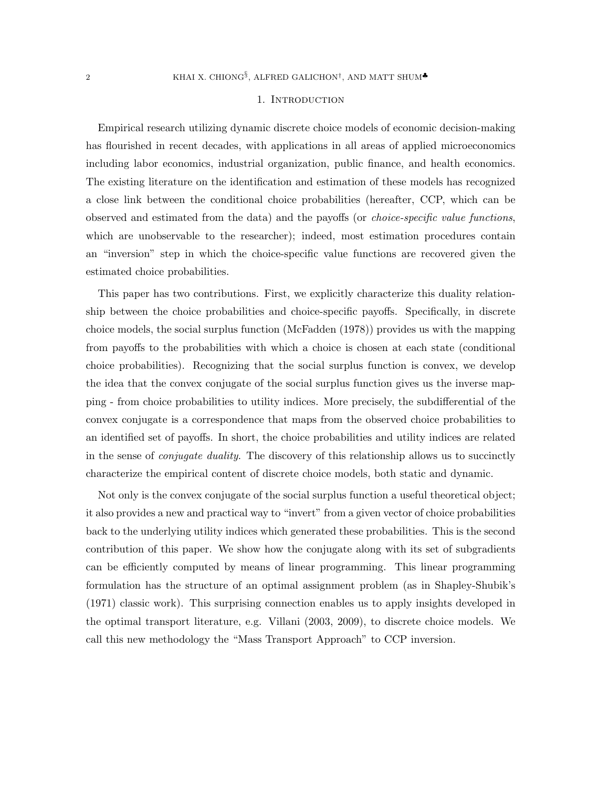#### 1. INTRODUCTION

Empirical research utilizing dynamic discrete choice models of economic decision-making has flourished in recent decades, with applications in all areas of applied microeconomics including labor economics, industrial organization, public finance, and health economics. The existing literature on the identification and estimation of these models has recognized a close link between the conditional choice probabilities (hereafter, CCP, which can be observed and estimated from the data) and the payoffs (or choice-specific value functions, which are unobservable to the researcher); indeed, most estimation procedures contain an "inversion" step in which the choice-specific value functions are recovered given the estimated choice probabilities.

This paper has two contributions. First, we explicitly characterize this duality relationship between the choice probabilities and choice-specific payoffs. Specifically, in discrete choice models, the social surplus function (McFadden (1978)) provides us with the mapping from payoffs to the probabilities with which a choice is chosen at each state (conditional choice probabilities). Recognizing that the social surplus function is convex, we develop the idea that the convex conjugate of the social surplus function gives us the inverse mapping - from choice probabilities to utility indices. More precisely, the subdifferential of the convex conjugate is a correspondence that maps from the observed choice probabilities to an identified set of payoffs. In short, the choice probabilities and utility indices are related in the sense of conjugate duality. The discovery of this relationship allows us to succinctly characterize the empirical content of discrete choice models, both static and dynamic.

Not only is the convex conjugate of the social surplus function a useful theoretical object; it also provides a new and practical way to "invert" from a given vector of choice probabilities back to the underlying utility indices which generated these probabilities. This is the second contribution of this paper. We show how the conjugate along with its set of subgradients can be efficiently computed by means of linear programming. This linear programming formulation has the structure of an optimal assignment problem (as in Shapley-Shubik's (1971) classic work). This surprising connection enables us to apply insights developed in the optimal transport literature, e.g. Villani (2003, 2009), to discrete choice models. We call this new methodology the "Mass Transport Approach" to CCP inversion.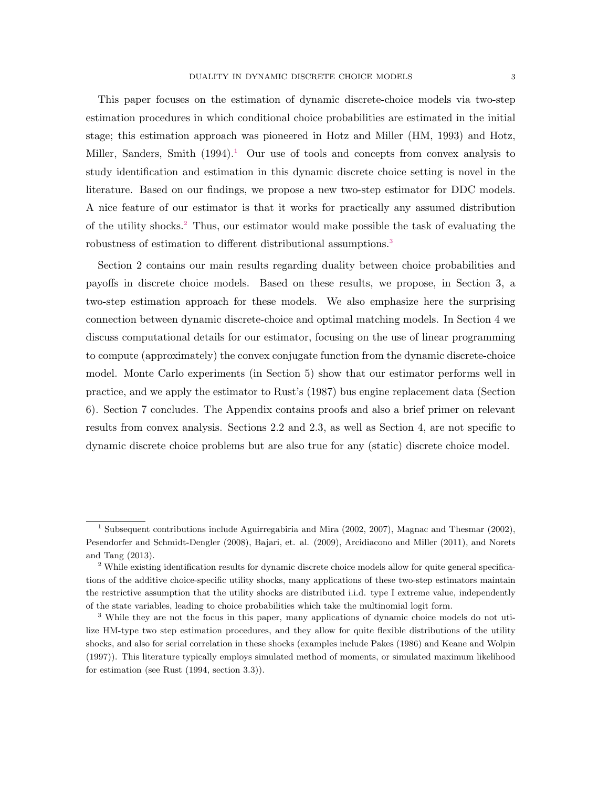This paper focuses on the estimation of dynamic discrete-choice models via two-step estimation procedures in which conditional choice probabilities are estimated in the initial stage; this estimation approach was pioneered in Hotz and Miller (HM, 1993) and Hotz, Miller, Sanders, Smith  $(1994)^1$  $(1994)^1$  $(1994)^1$  Our use of tools and concepts from convex analysis to study identification and estimation in this dynamic discrete choice setting is novel in the literature. Based on our findings, we propose a new two-step estimator for DDC models. A nice feature of our estimator is that it works for practically any assumed distribution of the utility shocks.[2](#page-3-1) Thus, our estimator would make possible the task of evaluating the robustness of estimation to different distributional assumptions.<sup>[3](#page-3-2)</sup>

Section 2 contains our main results regarding duality between choice probabilities and payoffs in discrete choice models. Based on these results, we propose, in Section 3, a two-step estimation approach for these models. We also emphasize here the surprising connection between dynamic discrete-choice and optimal matching models. In Section 4 we discuss computational details for our estimator, focusing on the use of linear programming to compute (approximately) the convex conjugate function from the dynamic discrete-choice model. Monte Carlo experiments (in Section 5) show that our estimator performs well in practice, and we apply the estimator to Rust's (1987) bus engine replacement data (Section 6). Section 7 concludes. The Appendix contains proofs and also a brief primer on relevant results from convex analysis. Sections 2.2 and 2.3, as well as Section 4, are not specific to dynamic discrete choice problems but are also true for any (static) discrete choice model.

<span id="page-3-0"></span><sup>&</sup>lt;sup>1</sup> Subsequent contributions include Aguirregabiria and Mira (2002, 2007), Magnac and Thesmar (2002), Pesendorfer and Schmidt-Dengler (2008), Bajari, et. al. (2009), Arcidiacono and Miller (2011), and Norets and Tang (2013).

<span id="page-3-1"></span><sup>2</sup> While existing identification results for dynamic discrete choice models allow for quite general specifications of the additive choice-specific utility shocks, many applications of these two-step estimators maintain the restrictive assumption that the utility shocks are distributed i.i.d. type I extreme value, independently of the state variables, leading to choice probabilities which take the multinomial logit form.

<span id="page-3-2"></span><sup>&</sup>lt;sup>3</sup> While they are not the focus in this paper, many applications of dynamic choice models do not utilize HM-type two step estimation procedures, and they allow for quite flexible distributions of the utility shocks, and also for serial correlation in these shocks (examples include Pakes (1986) and Keane and Wolpin (1997)). This literature typically employs simulated method of moments, or simulated maximum likelihood for estimation (see Rust (1994, section 3.3)).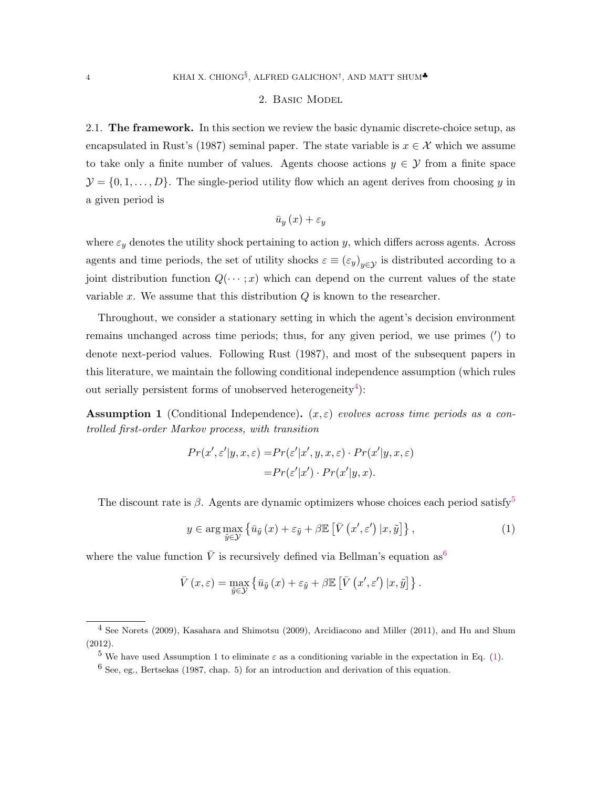#### 2. Basic Model

2.1. The framework. In this section we review the basic dynamic discrete-choice setup, as encapsulated in Rust's (1987) seminal paper. The state variable is  $x \in \mathcal{X}$  which we assume to take only a finite number of values. Agents choose actions  $y \in \mathcal{Y}$  from a finite space  $\mathcal{Y} = \{0, 1, \ldots, D\}$ . The single-period utility flow which an agent derives from choosing y in a given period is

$$
\bar{u}_y\left(x\right) + \varepsilon_y
$$

where  $\varepsilon_y$  denotes the utility shock pertaining to action y, which differs across agents. Across agents and time periods, the set of utility shocks  $\varepsilon \equiv (\varepsilon_y)_{y \in \mathcal{Y}}$  is distributed according to a joint distribution function  $Q(\dots; x)$  which can depend on the current values of the state variable x. We assume that this distribution  $Q$  is known to the researcher.

Throughout, we consider a stationary setting in which the agent's decision environment remains unchanged across time periods; thus, for any given period, we use primes (') to denote next-period values. Following Rust (1987), and most of the subsequent papers in this literature, we maintain the following conditional independence assumption (which rules out serially persistent forms of unobserved heterogeneity<sup>[4](#page-4-0)</sup>):

**Assumption 1** (Conditional Independence).  $(x, \varepsilon)$  evolves across time periods as a controlled first-order Markov process, with transition

$$
Pr(x', \varepsilon'|y, x, \varepsilon) = Pr(\varepsilon'|x', y, x, \varepsilon) \cdot Pr(x'|y, x, \varepsilon)
$$

$$
= Pr(\varepsilon'|x') \cdot Pr(x'|y, x).
$$

The discount rate is  $\beta$ . Agents are dynamic optimizers whose choices each period satisfy<sup>[5](#page-4-1)</sup>

<span id="page-4-3"></span>
$$
y \in \arg\max_{\tilde{y} \in \mathcal{Y}} \left\{ \bar{u}_{\tilde{y}}\left(x\right) + \varepsilon_{\tilde{y}} + \beta \mathbb{E}\left[\bar{V}\left(x', \varepsilon'\right) | x, \tilde{y}\right] \right\},\tag{1}
$$

where the value function  $\bar{V}$  is recursively defined via Bellman's equation as<sup>[6](#page-4-2)</sup>

$$
\bar{V}(x,\varepsilon) = \max_{\tilde{y}\in\mathcal{Y}} \left\{ \bar{u}_{\tilde{y}}(x) + \varepsilon_{\tilde{y}} + \beta \mathbb{E}\left[\bar{V}(x',\varepsilon')\,|x,\tilde{y}\right]\right\}.
$$

<span id="page-4-0"></span><sup>4</sup> See Norets (2009), Kasahara and Shimotsu (2009), Arcidiacono and Miller (2011), and Hu and Shum (2012).

<span id="page-4-1"></span><sup>&</sup>lt;sup>5</sup> We have used Assumption 1 to eliminate  $\varepsilon$  as a conditioning variable in the expectation in Eq. [\(1\)](#page-4-3).

<span id="page-4-2"></span><sup>6</sup> See, eg., Bertsekas (1987, chap. 5) for an introduction and derivation of this equation.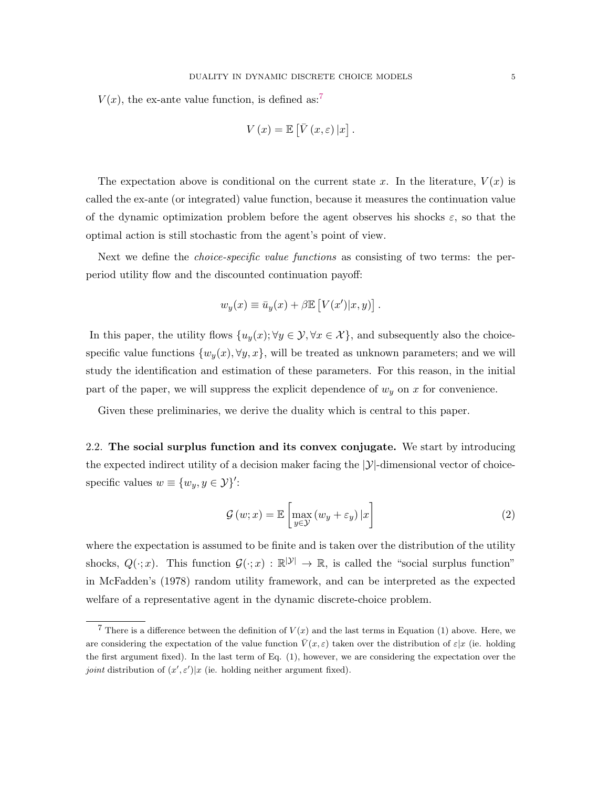$V(x)$ , the ex-ante value function, is defined as:<sup>[7](#page-5-0)</sup>

$$
V(x) = \mathbb{E}\left[\bar{V}(x,\varepsilon)|x\right].
$$

The expectation above is conditional on the current state x. In the literature,  $V(x)$  is called the ex-ante (or integrated) value function, because it measures the continuation value of the dynamic optimization problem before the agent observes his shocks  $\varepsilon$ , so that the optimal action is still stochastic from the agent's point of view.

Next we define the *choice-specific value functions* as consisting of two terms: the perperiod utility flow and the discounted continuation payoff:

$$
w_y(x) \equiv \bar{u}_y(x) + \beta \mathbb{E}\left[V(x')|x,y\right].
$$

In this paper, the utility flows  $\{u_y(x); \forall y \in \mathcal{Y}, \forall x \in \mathcal{X}\}\$ , and subsequently also the choicespecific value functions  $\{w_y(x), \forall y, x\}$ , will be treated as unknown parameters; and we will study the identification and estimation of these parameters. For this reason, in the initial part of the paper, we will suppress the explicit dependence of  $w_y$  on x for convenience.

Given these preliminaries, we derive the duality which is central to this paper.

2.2. The social surplus function and its convex conjugate. We start by introducing the expected indirect utility of a decision maker facing the  $|y|$ -dimensional vector of choicespecific values  $w \equiv \{w_y, y \in \mathcal{Y}\}'$ :

$$
\mathcal{G}\left(w;x\right) = \mathbb{E}\left[\max_{y \in \mathcal{Y}} \left(w_y + \varepsilon_y\right)|x\right] \tag{2}
$$

where the expectation is assumed to be finite and is taken over the distribution of the utility shocks,  $Q(\cdot; x)$ . This function  $\mathcal{G}(\cdot; x) : \mathbb{R}^{|\mathcal{Y}|} \to \mathbb{R}$ , is called the "social surplus function" in McFadden's (1978) random utility framework, and can be interpreted as the expected welfare of a representative agent in the dynamic discrete-choice problem.

<span id="page-5-0"></span><sup>&</sup>lt;sup>7</sup> There is a difference between the definition of  $V(x)$  and the last terms in Equation (1) above. Here, we are considering the expectation of the value function  $\bar{V}(x,\varepsilon)$  taken over the distribution of  $\varepsilon|x$  (ie. holding the first argument fixed). In the last term of Eq. (1), however, we are considering the expectation over the joint distribution of  $(x', \varepsilon')|x$  (ie. holding neither argument fixed).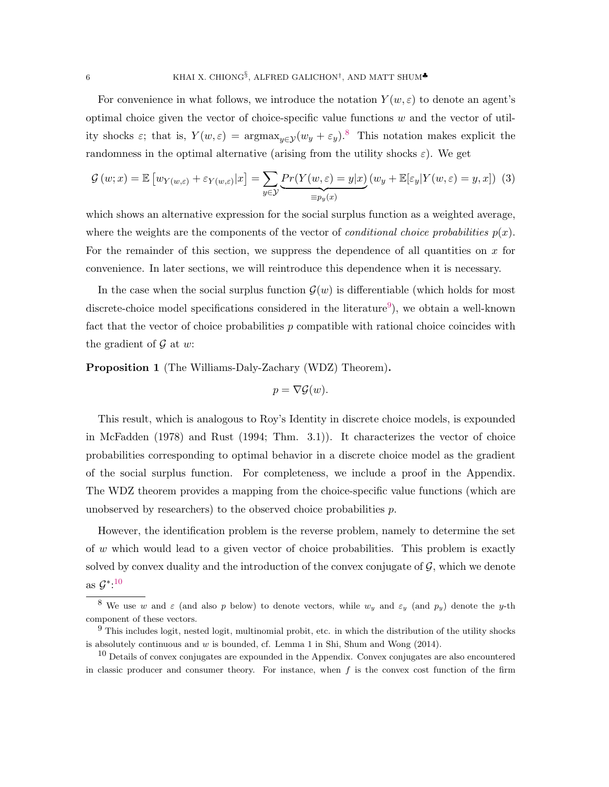For convenience in what follows, we introduce the notation  $Y(w, \varepsilon)$  to denote an agent's optimal choice given the vector of choice-specific value functions  $w$  and the vector of utility shocks  $\varepsilon$ ; that is,  $Y(w, \varepsilon) = \text{argmax}_{y \in \mathcal{Y}} (w_y + \varepsilon_y)^8$  $Y(w, \varepsilon) = \text{argmax}_{y \in \mathcal{Y}} (w_y + \varepsilon_y)^8$ . This notation makes explicit the randomness in the optimal alternative (arising from the utility shocks  $\varepsilon$ ). We get

<span id="page-6-3"></span>
$$
\mathcal{G}(w;x) = \mathbb{E}\left[w_{Y(w,\varepsilon)} + \varepsilon_{Y(w,\varepsilon)}|x\right] = \sum_{y \in \mathcal{Y}} \underbrace{Pr(Y(w,\varepsilon) = y|x)}_{\equiv p_y(x)} (w_y + \mathbb{E}[\varepsilon_y | Y(w,\varepsilon) = y, x]) \tag{3}
$$

which shows an alternative expression for the social surplus function as a weighted average, where the weights are the components of the vector of *conditional choice probabilities*  $p(x)$ . For the remainder of this section, we suppress the dependence of all quantities on  $x$  for convenience. In later sections, we will reintroduce this dependence when it is necessary.

In the case when the social surplus function  $\mathcal{G}(w)$  is differentiable (which holds for most discrete-choice model specifications considered in the literature<sup>[9](#page-6-1)</sup>), we obtain a well-known fact that the vector of choice probabilities  $p$  compatible with rational choice coincides with the gradient of  $\mathcal G$  at  $w$ :

<span id="page-6-4"></span>Proposition 1 (The Williams-Daly-Zachary (WDZ) Theorem).

$$
p = \nabla \mathcal{G}(w).
$$

This result, which is analogous to Roy's Identity in discrete choice models, is expounded in McFadden (1978) and Rust (1994; Thm. 3.1)). It characterizes the vector of choice probabilities corresponding to optimal behavior in a discrete choice model as the gradient of the social surplus function. For completeness, we include a proof in the Appendix. The WDZ theorem provides a mapping from the choice-specific value functions (which are unobserved by researchers) to the observed choice probabilities  $p$ .

However, the identification problem is the reverse problem, namely to determine the set of w which would lead to a given vector of choice probabilities. This problem is exactly solved by convex duality and the introduction of the convex conjugate of  $\mathcal{G}$ , which we denote as  $\mathcal{G}^{*,10}$  $\mathcal{G}^{*,10}$  $\mathcal{G}^{*,10}$ 

<span id="page-6-0"></span><sup>&</sup>lt;sup>8</sup> We use w and  $\varepsilon$  (and also p below) to denote vectors, while  $w_y$  and  $\varepsilon_y$  (and  $p_y$ ) denote the y-th component of these vectors.

<span id="page-6-1"></span><sup>9</sup> This includes logit, nested logit, multinomial probit, etc. in which the distribution of the utility shocks is absolutely continuous and  $w$  is bounded, cf. Lemma 1 in Shi, Shum and Wong (2014).

<span id="page-6-2"></span><sup>&</sup>lt;sup>10</sup> Details of convex conjugates are expounded in the Appendix. Convex conjugates are also encountered in classic producer and consumer theory. For instance, when  $f$  is the convex cost function of the firm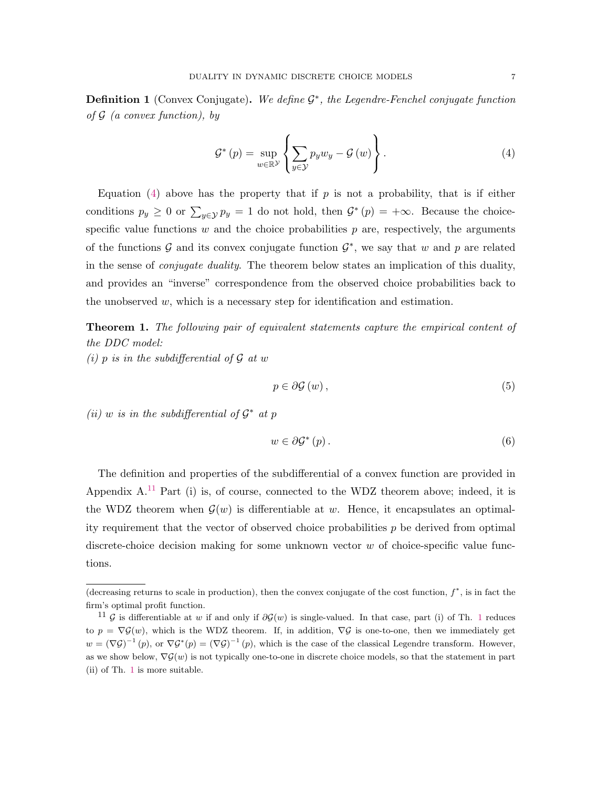**Definition 1** (Convex Conjugate). We define  $\mathcal{G}^*$ , the Legendre-Fenchel conjugate function of  $G$  (a convex function), by

<span id="page-7-0"></span>
$$
\mathcal{G}^*(p) = \sup_{w \in \mathbb{R}^{\mathcal{Y}}} \left\{ \sum_{y \in \mathcal{Y}} p_y w_y - \mathcal{G}(w) \right\}.
$$
 (4)

Equation [\(4\)](#page-7-0) above has the property that if p is not a probability, that is if either conditions  $p_y \geq 0$  or  $\sum_{y \in \mathcal{Y}} p_y = 1$  do not hold, then  $\mathcal{G}^*(p) = +\infty$ . Because the choicespecific value functions  $w$  and the choice probabilities  $p$  are, respectively, the arguments of the functions  $G$  and its convex conjugate function  $G^*$ , we say that w and p are related in the sense of conjugate duality. The theorem below states an implication of this duality, and provides an "inverse" correspondence from the observed choice probabilities back to the unobserved  $w$ , which is a necessary step for identification and estimation.

<span id="page-7-2"></span>Theorem 1. The following pair of equivalent statements capture the empirical content of the DDC model:

(*i*) p is in the subdifferential of  $\mathcal G$  at w

<span id="page-7-4"></span>
$$
p \in \partial \mathcal{G}(w) \,,\tag{5}
$$

 $\label{eq:3} \emph{(ii)} \,\, w \,\, \emph{is in the subdifferential of $\mathcal{G}^*$ at $p$}$ 

<span id="page-7-3"></span>
$$
w \in \partial \mathcal{G}^*(p). \tag{6}
$$

The definition and properties of the subdifferential of a convex function are provided in Appendix  $A$ .<sup>[11](#page-7-1)</sup> Part (i) is, of course, connected to the WDZ theorem above; indeed, it is the WDZ theorem when  $\mathcal{G}(w)$  is differentiable at w. Hence, it encapsulates an optimality requirement that the vector of observed choice probabilities  $p$  be derived from optimal discrete-choice decision making for some unknown vector  $w$  of choice-specific value functions.

<sup>(</sup>decreasing returns to scale in production), then the convex conjugate of the cost function,  $f^*$ , is in fact the firm's optimal profit function.

<span id="page-7-1"></span><sup>&</sup>lt;sup>[1](#page-7-2)1</sup> G is differentiable at w if and only if  $\partial \mathcal{G}(w)$  is single-valued. In that case, part (i) of Th. 1 reduces to  $p = \nabla \mathcal{G}(w)$ , which is the WDZ theorem. If, in addition,  $\nabla \mathcal{G}$  is one-to-one, then we immediately get  $w = (\nabla \mathcal{G})^{-1}(p)$ , or  $\nabla \mathcal{G}^*(p) = (\nabla \mathcal{G})^{-1}(p)$ , which is the case of the classical Legendre transform. However, as we show below,  $\nabla \mathcal{G}(w)$  is not typically one-to-one in discrete choice models, so that the statement in part (ii) of Th. [1](#page-7-2) is more suitable.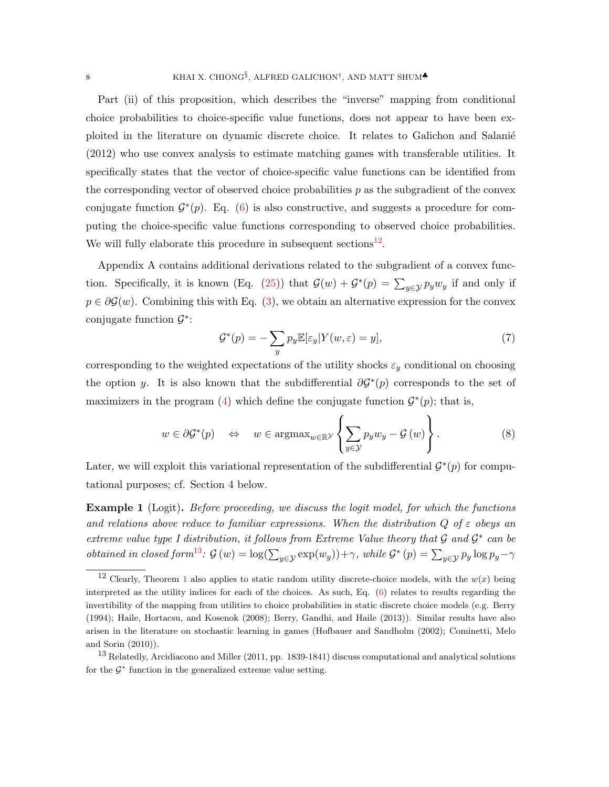Part (ii) of this proposition, which describes the "inverse" mapping from conditional choice probabilities to choice-specific value functions, does not appear to have been exploited in the literature on dynamic discrete choice. It relates to Galichon and Salanié (2012) who use convex analysis to estimate matching games with transferable utilities. It specifically states that the vector of choice-specific value functions can be identified from the corresponding vector of observed choice probabilities  $p$  as the subgradient of the convex conjugate function  $\mathcal{G}^*(p)$ . Eq. [\(6\)](#page-7-3) is also constructive, and suggests a procedure for computing the choice-specific value functions corresponding to observed choice probabilities. We will fully elaborate this procedure in subsequent sections<sup>[12](#page-8-0)</sup>.

Appendix A contains additional derivations related to the subgradient of a convex func-tion. Specifically, it is known (Eq. [\(25\)](#page-31-0)) that  $\mathcal{G}(w) + \mathcal{G}^*(p) = \sum_{y \in \mathcal{Y}} p_y w_y$  if and only if  $p \in \partial \mathcal{G}(w)$ . Combining this with Eq. [\(3\)](#page-6-3), we obtain an alternative expression for the convex conjugate function  $\mathcal{G}^*$ :

$$
\mathcal{G}^*(p) = -\sum_y p_y \mathbb{E}[\varepsilon_y | Y(w, \varepsilon) = y],\tag{7}
$$

corresponding to the weighted expectations of the utility shocks  $\varepsilon_y$  conditional on choosing the option y. It is also known that the subdifferential  $\partial \mathcal{G}^*(p)$  corresponds to the set of maximizers in the program [\(4\)](#page-7-0) which define the conjugate function  $\mathcal{G}^*(p)$ ; that is,

$$
w \in \partial \mathcal{G}^*(p) \quad \Leftrightarrow \quad w \in \operatorname{argmax}_{w \in \mathbb{R}^{\mathcal{Y}}} \left\{ \sum_{y \in \mathcal{Y}} p_y w_y - \mathcal{G}(w) \right\}.
$$
 (8)

Later, we will exploit this variational representation of the subdifferential  $\mathcal{G}^*(p)$  for computational purposes; cf. Section 4 below.

Example 1 (Logit). Before proceeding, we discuss the logit model, for which the functions and relations above reduce to familiar expressions. When the distribution  $Q$  of  $\varepsilon$  obeys an extreme value type I distribution, it follows from Extreme Value theory that  $\mathcal G$  and  $\mathcal G^*$  can be obtained in closed form<sup>[13](#page-8-1)</sup>:  $\mathcal{G}(w) = \log(\sum_{y \in \mathcal{Y}} \exp(w_y)) + \gamma$ , while  $\mathcal{G}^*(p) = \sum_{y \in \mathcal{Y}} p_y \log p_y - \gamma$ 

<span id="page-8-0"></span><sup>&</sup>lt;sup>[1](#page-7-2)2</sup> Clearly, Theorem 1 also applies to static random utility discrete-choice models, with the  $w(x)$  being interpreted as the utility indices for each of the choices. As such, Eq. [\(6\)](#page-7-3) relates to results regarding the invertibility of the mapping from utilities to choice probabilities in static discrete choice models (e.g. Berry (1994); Haile, Hortacsu, and Kosenok (2008); Berry, Gandhi, and Haile (2013)). Similar results have also arisen in the literature on stochastic learning in games (Hofbauer and Sandholm (2002); Cominetti, Melo and Sorin (2010)).

<span id="page-8-1"></span><sup>13</sup> Relatedly, Arcidiacono and Miller (2011, pp. 1839-1841) discuss computational and analytical solutions for the  $\mathcal{G}^*$  function in the generalized extreme value setting.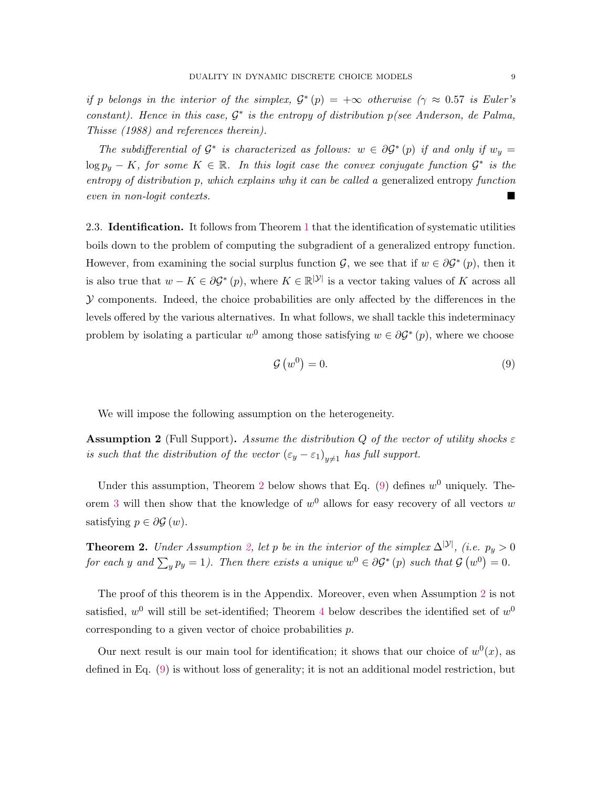if p belongs in the interior of the simplex,  $G^*(p) = +\infty$  otherwise  $(\gamma \approx 0.57$  is Euler's constant). Hence in this case,  $\mathcal{G}^*$  is the entropy of distribution  $p$ (see Anderson, de Palma, Thisse (1988) and references therein).

The subdifferential of  $\mathcal{G}^*$  is characterized as follows:  $w \in \partial \mathcal{G}^*(p)$  if and only if  $w_y =$  $\log p_y - K$ , for some  $K \in \mathbb{R}$ . In this logit case the convex conjugate function  $\mathcal{G}^*$  is the entropy of distribution p, which explains why it can be called a generalized entropy function even in non-logit contexts.

<span id="page-9-3"></span>2.3. Identification. It follows from Theorem [1](#page-7-2) that the identification of systematic utilities boils down to the problem of computing the subgradient of a generalized entropy function. However, from examining the social surplus function  $\mathcal{G}$ , we see that if  $w \in \partial \mathcal{G}^*(p)$ , then it is also true that  $w - K \in \partial \mathcal{G}^*(p)$ , where  $K \in \mathbb{R}^{|\mathcal{Y}|}$  is a vector taking values of K across all  $\mathcal Y$  components. Indeed, the choice probabilities are only affected by the differences in the levels offered by the various alternatives. In what follows, we shall tackle this indeterminacy problem by isolating a particular  $w^0$  among those satisfying  $w \in \partial \mathcal{G}^*(p)$ , where we choose

<span id="page-9-1"></span>
$$
\mathcal{G}\left(w^{0}\right) = 0.\tag{9}
$$

We will impose the following assumption on the heterogeneity.

<span id="page-9-2"></span>**Assumption 2** (Full Support). Assume the distribution Q of the vector of utility shocks  $\varepsilon$ is such that the distribution of the vector  $(\varepsilon_y - \varepsilon_1)_{y \neq 1}$  has full support.

Under this assumption, Theorem [2](#page-9-0) below shows that Eq. [\(9\)](#page-9-1) defines  $w^0$  uniquely. The-orem [3](#page-10-0) will then show that the knowledge of  $w^0$  allows for easy recovery of all vectors w satisfying  $p \in \partial \mathcal{G}(w)$ .

<span id="page-9-0"></span>**Theorem 2.** Under Assumption [2,](#page-9-2) let p be in the interior of the simplex  $\Delta^{|\mathcal{Y}|}$ , (i.e.  $p_y > 0$ for each y and  $\sum_{y} p_y = 1$ ). Then there exists a unique  $w^0 \in \partial \mathcal{G}^*(p)$  such that  $\mathcal{G}(w^0) = 0$ .

The proof of this theorem is in the Appendix. Moreover, even when Assumption [2](#page-9-2) is not satisfied,  $w^0$  will still be set-identified; Theorem [4](#page-17-0) below describes the identified set of  $w^0$ corresponding to a given vector of choice probabilities p.

Our next result is our main tool for identification; it shows that our choice of  $w^0(x)$ , as defined in Eq. [\(9\)](#page-9-1) is without loss of generality; it is not an additional model restriction, but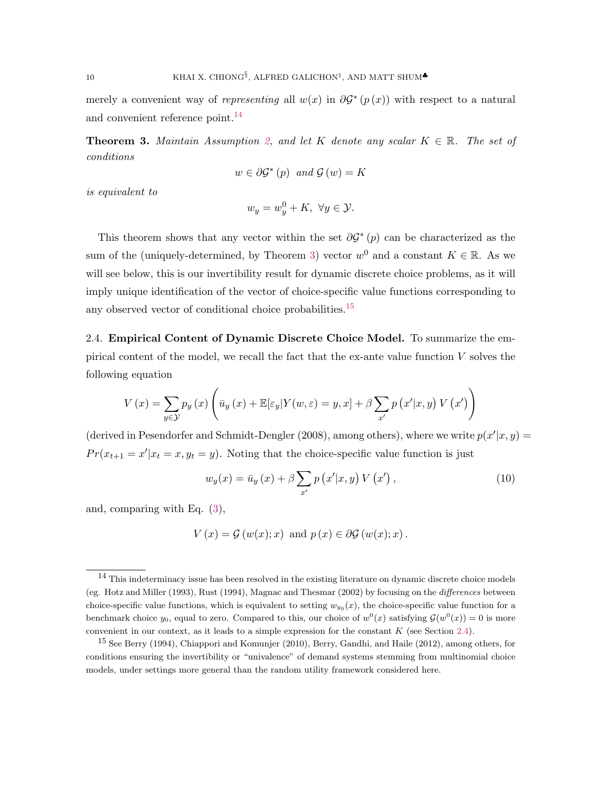merely a convenient way of *representing* all  $w(x)$  in  $\partial \mathcal{G}^*(p(x))$  with respect to a natural and convenient reference point.<sup>[14](#page-10-1)</sup>

<span id="page-10-0"></span>**Theorem 3.** Maintain Assumption [2,](#page-9-2) and let K denote any scalar  $K \in \mathbb{R}$ . The set of conditions

$$
w\in\partial\mathcal{G}^{\ast}\left( p\right) \ and\ \mathcal{G}\left( w\right) =K
$$

is equivalent to

$$
w_y = w_y^0 + K, \ \forall y \in \mathcal{Y}.
$$

This theorem shows that any vector within the set  $\partial \mathcal{G}^*(p)$  can be characterized as the sum of the (uniquely-determined, by Theorem [3\)](#page-10-0) vector  $w^0$  and a constant  $K \in \mathbb{R}$ . As we will see below, this is our invertibility result for dynamic discrete choice problems, as it will imply unique identification of the vector of choice-specific value functions corresponding to any observed vector of conditional choice probabilities.<sup>[15](#page-10-2)</sup>

<span id="page-10-3"></span>2.4. Empirical Content of Dynamic Discrete Choice Model. To summarize the empirical content of the model, we recall the fact that the ex-ante value function  $V$  solves the following equation

$$
V(x) = \sum_{y \in \mathcal{Y}} p_y(x) \left( \bar{u}_y(x) + \mathbb{E}[\varepsilon_y | Y(w, \varepsilon) = y, x] + \beta \sum_{x'} p(x'|x, y) V(x') \right)
$$

(derived in Pesendorfer and Schmidt-Dengler (2008), among others), where we write  $p(x'|x, y) =$  $Pr(x_{t+1} = x'|x_t = x, y_t = y)$ . Noting that the choice-specific value function is just

<span id="page-10-4"></span>
$$
w_y(x) = \bar{u}_y(x) + \beta \sum_{x'} p(x'|x, y) V(x'),
$$
\n(10)

and, comparing with Eq. [\(3\)](#page-6-3),

$$
V(x) = \mathcal{G}(w(x); x) \text{ and } p(x) \in \partial \mathcal{G}(w(x); x).
$$

<span id="page-10-1"></span> $14$  This indeterminacy issue has been resolved in the existing literature on dynamic discrete choice models (eg. Hotz and Miller (1993), Rust (1994), Magnac and Thesmar (2002) by focusing on the differences between choice-specific value functions, which is equivalent to setting  $w_{y_0}(x)$ , the choice-specific value function for a benchmark choice  $y_0$ , equal to zero. Compared to this, our choice of  $w^0(x)$  satisfying  $\mathcal{G}(w^0(x)) = 0$  is more convenient in our context, as it leads to a simple expression for the constant  $K$  (see Section [2.4\)](#page-10-3).

<span id="page-10-2"></span><sup>&</sup>lt;sup>15</sup> See Berry (1994), Chiappori and Komunjer (2010), Berry, Gandhi, and Haile (2012), among others, for conditions ensuring the invertibility or "univalence" of demand systems stemming from multinomial choice models, under settings more general than the random utility framework considered here.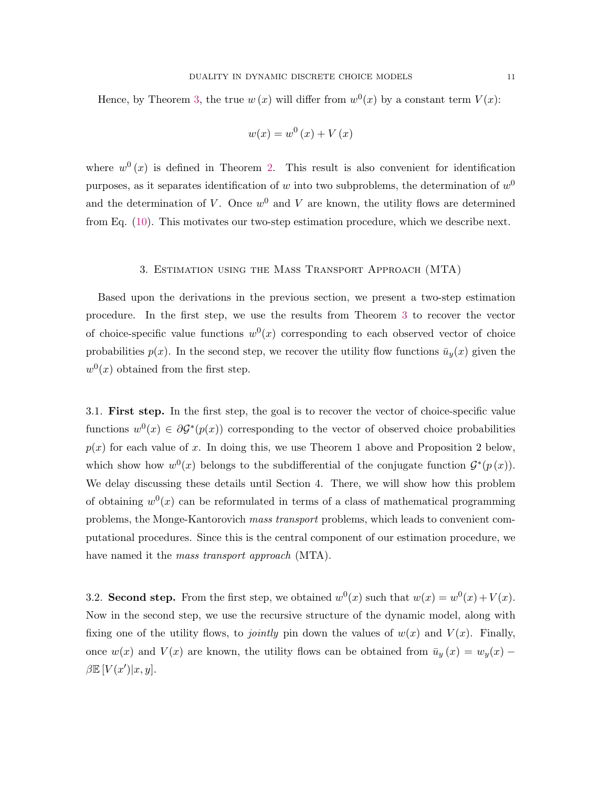Hence, by Theorem [3,](#page-10-0) the true  $w(x)$  will differ from  $w<sup>0</sup>(x)$  by a constant term  $V(x)$ :

$$
w(x) = w^{0}(x) + V(x)
$$

where  $w^0(x)$  is defined in Theorem [2.](#page-9-0) This result is also convenient for identification purposes, as it separates identification of w into two subproblems, the determination of  $w^0$ and the determination of V. Once  $w^0$  and V are known, the utility flows are determined from Eq. [\(10\)](#page-10-4). This motivates our two-step estimation procedure, which we describe next.

#### 3. Estimation using the Mass Transport Approach (MTA)

Based upon the derivations in the previous section, we present a two-step estimation procedure. In the first step, we use the results from Theorem [3](#page-10-0) to recover the vector of choice-specific value functions  $w^0(x)$  corresponding to each observed vector of choice probabilities  $p(x)$ . In the second step, we recover the utility flow functions  $\bar{u}_y(x)$  given the  $w^0(x)$  obtained from the first step.

3.1. First step. In the first step, the goal is to recover the vector of choice-specific value functions  $w^0(x) \in \partial \mathcal{G}^*(p(x))$  corresponding to the vector of observed choice probabilities  $p(x)$  for each value of x. In doing this, we use Theorem 1 above and Proposition 2 below, which show how  $w^0(x)$  belongs to the subdifferential of the conjugate function  $\mathcal{G}^*(p(x))$ . We delay discussing these details until Section 4. There, we will show how this problem of obtaining  $w^0(x)$  can be reformulated in terms of a class of mathematical programming problems, the Monge-Kantorovich mass transport problems, which leads to convenient computational procedures. Since this is the central component of our estimation procedure, we have named it the *mass transport approach* (MTA).

3.2. Second step. From the first step, we obtained  $w^0(x)$  such that  $w(x) = w^0(x) + V(x)$ . Now in the second step, we use the recursive structure of the dynamic model, along with fixing one of the utility flows, to *jointly* pin down the values of  $w(x)$  and  $V(x)$ . Finally, once  $w(x)$  and  $V(x)$  are known, the utility flows can be obtained from  $\bar{u}_y(x) = w_y(x) \beta \mathbb{E}\left[V(x')|x,y\right].$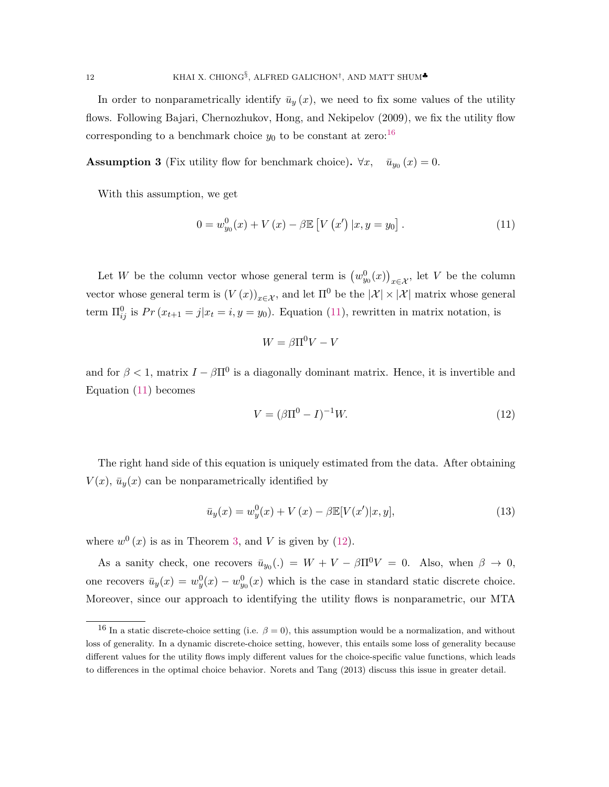In order to nonparametrically identify  $\bar{u}_y(x)$ , we need to fix some values of the utility flows. Following Bajari, Chernozhukov, Hong, and Nekipelov (2009), we fix the utility flow corresponding to a benchmark choice  $y_0$  to be constant at zero:<sup>[16](#page-12-0)</sup>

**Assumption 3** (Fix utility flow for benchmark choice).  $\forall x, \quad \bar{u}_{y_0}(x) = 0.$ 

With this assumption, we get

<span id="page-12-1"></span>
$$
0 = w_{y_0}^0(x) + V(x) - \beta \mathbb{E}\left[V(x')\,|x,y=y_0\right].\tag{11}
$$

Let W be the column vector whose general term is  $(w_{y_0}^0(x))_{x \in \mathcal{X}}$ , let V be the column vector whose general term is  $(V(x))_{x\in\mathcal{X}}$ , and let  $\Pi^0$  be the  $|\mathcal{X}|\times|\mathcal{X}|$  matrix whose general term  $\Pi_{ij}^0$  is  $Pr(x_{t+1} = j | x_t = i, y = y_0)$ . Equation [\(11\)](#page-12-1), rewritten in matrix notation, is

$$
W = \beta \Pi^0 V - V
$$

and for  $\beta < 1$ , matrix  $I - \beta \Pi^0$  is a diagonally dominant matrix. Hence, it is invertible and Equation [\(11\)](#page-12-1) becomes

<span id="page-12-2"></span>
$$
V = (\beta \Pi^0 - I)^{-1} W.
$$
 (12)

The right hand side of this equation is uniquely estimated from the data. After obtaining  $V(x)$ ,  $\bar{u}_y(x)$  can be nonparametrically identified by

<span id="page-12-3"></span>
$$
\bar{u}_y(x) = w_y^0(x) + V(x) - \beta \mathbb{E}[V(x')|x, y],\tag{13}
$$

where  $w^0(x)$  is as in Theorem [3,](#page-10-0) and V is given by [\(12\)](#page-12-2).

As a sanity check, one recovers  $\bar{u}_{y_0}(.) = W + V - \beta \Pi^0 V = 0$ . Also, when  $\beta \to 0$ , one recovers  $\bar{u}_y(x) = w_y^0(x) - w_{y_0}^0(x)$  which is the case in standard static discrete choice. Moreover, since our approach to identifying the utility flows is nonparametric, our MTA

<span id="page-12-0"></span><sup>&</sup>lt;sup>16</sup> In a static discrete-choice setting (i.e.  $\beta = 0$ ), this assumption would be a normalization, and without loss of generality. In a dynamic discrete-choice setting, however, this entails some loss of generality because different values for the utility flows imply different values for the choice-specific value functions, which leads to differences in the optimal choice behavior. Norets and Tang (2013) discuss this issue in greater detail.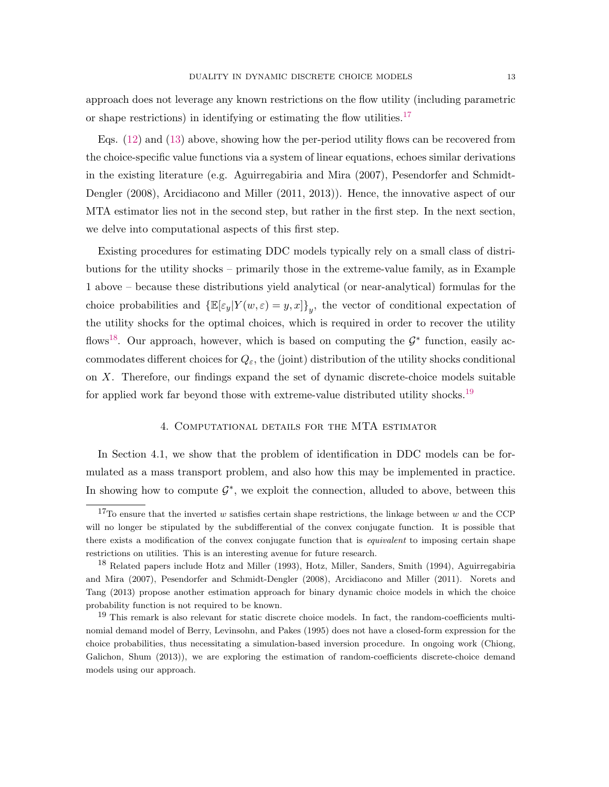approach does not leverage any known restrictions on the flow utility (including parametric or shape restrictions) in identifying or estimating the flow utilities. $17$ 

Eqs. [\(12\)](#page-12-2) and [\(13\)](#page-12-3) above, showing how the per-period utility flows can be recovered from the choice-specific value functions via a system of linear equations, echoes similar derivations in the existing literature (e.g. Aguirregabiria and Mira (2007), Pesendorfer and Schmidt-Dengler (2008), Arcidiacono and Miller (2011, 2013)). Hence, the innovative aspect of our MTA estimator lies not in the second step, but rather in the first step. In the next section, we delve into computational aspects of this first step.

Existing procedures for estimating DDC models typically rely on a small class of distributions for the utility shocks – primarily those in the extreme-value family, as in Example 1 above – because these distributions yield analytical (or near-analytical) formulas for the choice probabilities and  $\{\mathbb{E}[\varepsilon_y|Y(w,\varepsilon)=y,x]\}_y$ , the vector of conditional expectation of the utility shocks for the optimal choices, which is required in order to recover the utility flows<sup>[18](#page-13-1)</sup>. Our approach, however, which is based on computing the  $\mathcal{G}^*$  function, easily accommodates different choices for  $Q_{\varepsilon}$ , the (joint) distribution of the utility shocks conditional on X. Therefore, our findings expand the set of dynamic discrete-choice models suitable for applied work far beyond those with extreme-value distributed utility shocks.<sup>[19](#page-13-2)</sup>

## 4. Computational details for the MTA estimator

<span id="page-13-3"></span>In Section 4.1, we show that the problem of identification in DDC models can be formulated as a mass transport problem, and also how this may be implemented in practice. In showing how to compute  $\mathcal{G}^*$ , we exploit the connection, alluded to above, between this

<span id="page-13-0"></span><sup>&</sup>lt;sup>17</sup>To ensure that the inverted w satisfies certain shape restrictions, the linkage between w and the CCP will no longer be stipulated by the subdifferential of the convex conjugate function. It is possible that there exists a modification of the convex conjugate function that is *equivalent* to imposing certain shape restrictions on utilities. This is an interesting avenue for future research.

<span id="page-13-1"></span><sup>&</sup>lt;sup>18</sup> Related papers include Hotz and Miller (1993), Hotz, Miller, Sanders, Smith (1994), Aguirregabiria and Mira (2007), Pesendorfer and Schmidt-Dengler (2008), Arcidiacono and Miller (2011). Norets and Tang (2013) propose another estimation approach for binary dynamic choice models in which the choice probability function is not required to be known.

<span id="page-13-2"></span><sup>&</sup>lt;sup>19</sup> This remark is also relevant for static discrete choice models. In fact, the random-coefficients multinomial demand model of Berry, Levinsohn, and Pakes (1995) does not have a closed-form expression for the choice probabilities, thus necessitating a simulation-based inversion procedure. In ongoing work (Chiong, Galichon, Shum (2013)), we are exploring the estimation of random-coefficients discrete-choice demand models using our approach.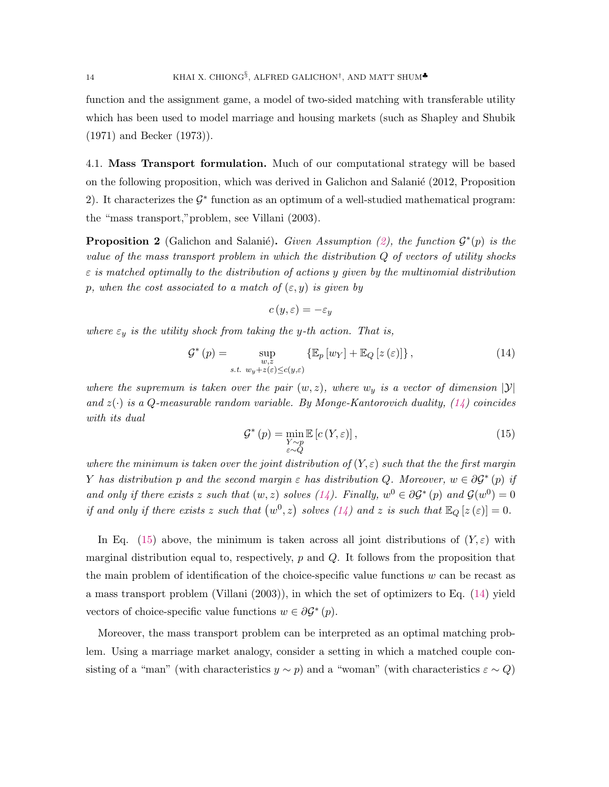function and the assignment game, a model of two-sided matching with transferable utility which has been used to model marriage and housing markets (such as Shapley and Shubik (1971) and Becker (1973)).

4.1. Mass Transport formulation. Much of our computational strategy will be based on the following proposition, which was derived in Galichon and Salanie (2012, Proposition 2). It characterizes the  $\mathcal{G}^*$  function as an optimum of a well-studied mathematical program: the "mass transport,"problem, see Villani (2003).

<span id="page-14-2"></span>**Proposition 2** (Galichon and Salanie). Given Assumption [\(2\)](#page-9-2), the function  $\mathcal{G}^*(p)$  is the value of the mass transport problem in which the distribution Q of vectors of utility shocks  $\varepsilon$  is matched optimally to the distribution of actions y given by the multinomial distribution p, when the cost associated to a match of  $(\varepsilon, y)$  is given by

$$
c(y,\varepsilon)=-\varepsilon_y
$$

where  $\varepsilon_y$  is the utility shock from taking the y-th action. That is,

<span id="page-14-0"></span>
$$
\mathcal{G}^*(p) = \sup_{\substack{w,z\\s.t. \ w_y+z(\varepsilon)\leq c(y,\varepsilon)}} \left\{ \mathbb{E}_p \left[ w_Y \right] + \mathbb{E}_Q \left[ z(\varepsilon) \right] \right\},\tag{14}
$$

where the supremum is taken over the pair  $(w, z)$ , where  $w_y$  is a vector of dimension  $|\mathcal{Y}|$ and  $z(\cdot)$  is a Q-measurable random variable. By Monge-Kantorovich duality,  $(14)$  coincides with its dual

<span id="page-14-1"></span>
$$
\mathcal{G}^*(p) = \min_{\substack{Y \sim p \\ \varepsilon \sim Q}} \mathbb{E}\left[c\left(Y, \varepsilon\right)\right],\tag{15}
$$

where the minimum is taken over the joint distribution of  $(Y, \varepsilon)$  such that the the first margin Y has distribution p and the second margin  $\varepsilon$  has distribution Q. Moreover,  $w \in \partial \mathcal{G}^*(p)$  if and only if there exists z such that  $(w, z)$  solves  $(14)$ . Finally,  $w^0 \in \partial \mathcal{G}^*(p)$  and  $\mathcal{G}(w^0) = 0$ if and only if there exists z such that  $(w^0, z)$  solves  $(14)$  and z is such that  $\mathbb{E}_Q [z(\varepsilon)] = 0$ .

In Eq. [\(15\)](#page-14-1) above, the minimum is taken across all joint distributions of  $(Y, \varepsilon)$  with marginal distribution equal to, respectively,  $p$  and  $Q$ . It follows from the proposition that the main problem of identification of the choice-specific value functions w can be recast as a mass transport problem (Villani (2003)), in which the set of optimizers to Eq. [\(14\)](#page-14-0) yield vectors of choice-specific value functions  $w \in \partial \mathcal{G}^*(p)$ .

Moreover, the mass transport problem can be interpreted as an optimal matching problem. Using a marriage market analogy, consider a setting in which a matched couple consisting of a "man" (with characteristics  $y \sim p$ ) and a "woman" (with characteristics  $\varepsilon \sim Q$ )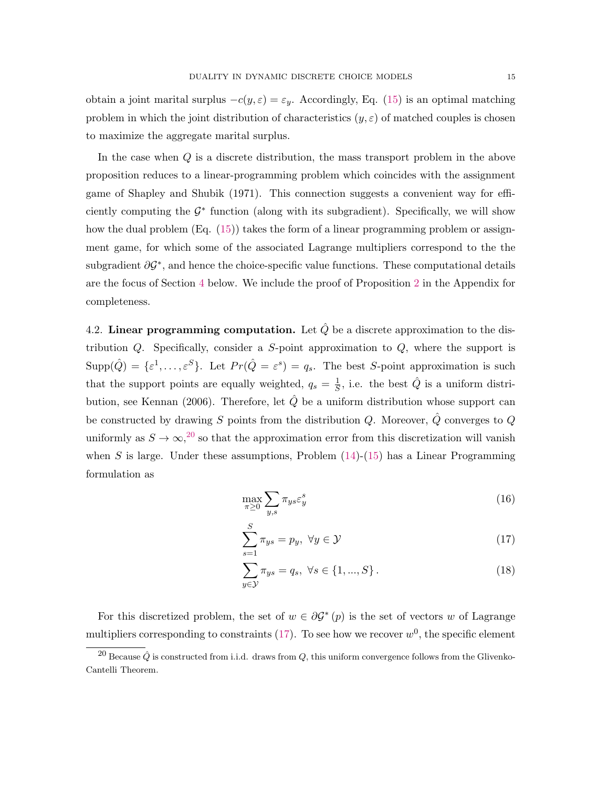obtain a joint marital surplus  $-c(y, \varepsilon) = \varepsilon_y$ . Accordingly, Eq. [\(15\)](#page-14-1) is an optimal matching problem in which the joint distribution of characteristics  $(y, \varepsilon)$  of matched couples is chosen to maximize the aggregate marital surplus.

In the case when  $Q$  is a discrete distribution, the mass transport problem in the above proposition reduces to a linear-programming problem which coincides with the assignment game of Shapley and Shubik (1971). This connection suggests a convenient way for efficiently computing the  $\mathcal{G}^*$  function (along with its subgradient). Specifically, we will show how the dual problem (Eq.  $(15)$ ) takes the form of a linear programming problem or assignment game, for which some of the associated Lagrange multipliers correspond to the the subgradient  $\partial \mathcal{G}^*$ , and hence the choice-specific value functions. These computational details are the focus of Section [4](#page-13-3) below. We include the proof of Proposition [2](#page-14-2) in the Appendix for completeness.

4.2. Linear programming computation. Let  $\hat{Q}$  be a discrete approximation to the distribution  $Q$ . Specifically, consider a S-point approximation to  $Q$ , where the support is  $\text{Supp}(\hat{Q}) = \{\varepsilon^1, \ldots, \varepsilon^S\}$ . Let  $Pr(\hat{Q} = \varepsilon^s) = q_s$ . The best S-point approximation is such that the support points are equally weighted,  $q_s = \frac{1}{S}$  $\frac{1}{S}$ , i.e. the best  $\hat{Q}$  is a uniform distribution, see Kennan (2006). Therefore, let  $\hat{Q}$  be a uniform distribution whose support can be constructed by drawing S points from the distribution Q. Moreover,  $\hat{Q}$  converges to Q uniformly as  $S \to \infty$ ,<sup>[20](#page-15-0)</sup> so that the approximation error from this discretization will vanish when S is large. Under these assumptions, Problem  $(14)-(15)$  $(14)-(15)$  $(14)-(15)$  has a Linear Programming formulation as

<span id="page-15-1"></span>
$$
\max_{\pi \ge 0} \sum_{y,s} \pi_{ys} \varepsilon_y^s \tag{16}
$$

$$
\sum_{s=1}^{S} \pi_{ys} = p_y, \ \forall y \in \mathcal{Y} \tag{17}
$$

$$
\sum_{y \in \mathcal{Y}} \pi_{ys} = q_s, \ \forall s \in \{1, ..., S\} \,. \tag{18}
$$

For this discretized problem, the set of  $w \in \partial \mathcal{G}^*(p)$  is the set of vectors w of Lagrange multipliers corresponding to constraints [\(17\)](#page-15-1). To see how we recover  $w^0$ , the specific element

<span id="page-15-0"></span> $\overline{^{20}$  Because  $\hat{Q}$  is constructed from i.i.d. draws from Q, this uniform convergence follows from the Glivenko-Cantelli Theorem.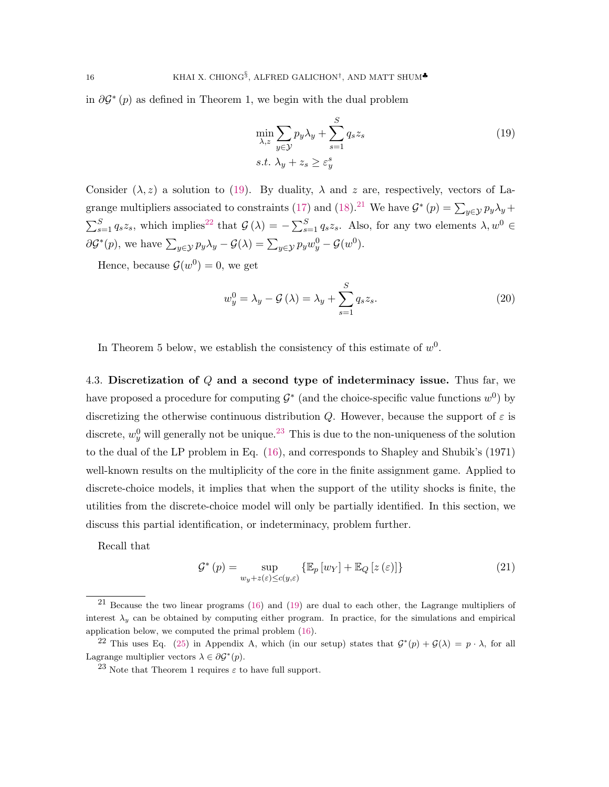in  $\partial \mathcal{G}^*(p)$  as defined in Theorem 1, we begin with the dual problem

<span id="page-16-0"></span>
$$
\min_{\lambda,z} \sum_{y \in \mathcal{Y}} p_y \lambda_y + \sum_{s=1}^S q_s z_s
$$
\n
$$
s.t. \lambda_y + z_s \ge \varepsilon_y^s
$$
\n(19)

Consider  $(\lambda, z)$  a solution to [\(19\)](#page-16-0). By duality,  $\lambda$  and z are, respectively, vectors of La-grange multipliers associated to constraints [\(17\)](#page-15-1) and [\(18\)](#page-15-1).<sup>[21](#page-16-1)</sup> We have  $G^*(p) = \sum_{y \in \mathcal{Y}} p_y \lambda_y +$  $\sum_{s=1}^{S} q_s z_s$ , which implies<sup>[22](#page-16-2)</sup> that  $\mathcal{G}(\lambda) = -\sum_{s=1}^{S} q_s z_s$ . Also, for any two elements  $\lambda, w^0 \in$  $\partial \mathcal{G}^*(p)$ , we have  $\sum_{y \in \mathcal{Y}} p_y \lambda_y - \mathcal{G}(\lambda) = \sum_{y \in \mathcal{Y}} p_y w_y^0 - \mathcal{G}(w^0)$ .

Hence, because  $\mathcal{G}(w^0) = 0$ , we get

$$
w_y^0 = \lambda_y - \mathcal{G}(\lambda) = \lambda_y + \sum_{s=1}^{S} q_s z_s.
$$
 (20)

In Theorem 5 below, we establish the consistency of this estimate of  $w^0$ .

<span id="page-16-5"></span>4.3. Discretization of Q and a second type of indeterminacy issue. Thus far, we have proposed a procedure for computing  $\mathcal{G}^*$  (and the choice-specific value functions  $w^0$ ) by discretizing the otherwise continuous distribution Q. However, because the support of  $\varepsilon$  is discrete,  $w_y^0$  will generally not be unique.<sup>[23](#page-16-3)</sup> This is due to the non-uniqueness of the solution to the dual of the LP problem in Eq. [\(16\)](#page-15-1), and corresponds to Shapley and Shubik's (1971) well-known results on the multiplicity of the core in the finite assignment game. Applied to discrete-choice models, it implies that when the support of the utility shocks is finite, the utilities from the discrete-choice model will only be partially identified. In this section, we discuss this partial identification, or indeterminacy, problem further.

Recall that

<span id="page-16-4"></span>
$$
\mathcal{G}^*(p) = \sup_{w_y + z(\varepsilon) \le c(y,\varepsilon)} \left\{ \mathbb{E}_p \left[ w_Y \right] + \mathbb{E}_Q \left[ z(\varepsilon) \right] \right\} \tag{21}
$$

<span id="page-16-1"></span> $21$  Because the two linear programs [\(16\)](#page-15-1) and [\(19\)](#page-16-0) are dual to each other, the Lagrange multipliers of interest  $\lambda_y$  can be obtained by computing either program. In practice, for the simulations and empirical application below, we computed the primal problem [\(16\)](#page-15-1).

<span id="page-16-2"></span><sup>&</sup>lt;sup>22</sup> This uses Eq. [\(25\)](#page-31-0) in Appendix A, which (in our setup) states that  $\mathcal{G}^*(p) + \mathcal{G}(\lambda) = p \cdot \lambda$ , for all Lagrange multiplier vectors  $\lambda \in \partial \mathcal{G}^*(p)$ .

<span id="page-16-3"></span><sup>&</sup>lt;sup>23</sup> Note that Theorem 1 requires  $\varepsilon$  to have full support.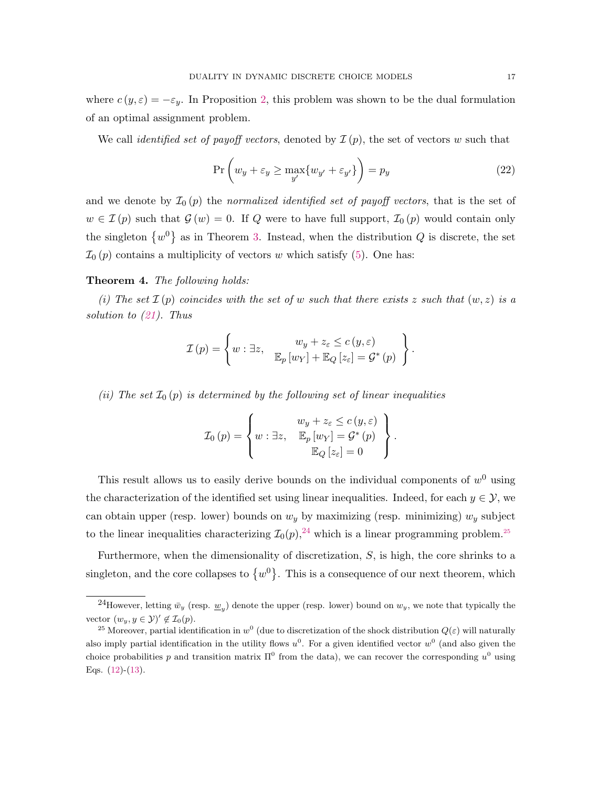where  $c(y, \varepsilon) = -\varepsilon_y$ . In Proposition [2,](#page-14-2) this problem was shown to be the dual formulation of an optimal assignment problem.

We call *identified set of payoff vectors*, denoted by  $\mathcal{I}(p)$ , the set of vectors w such that

$$
\Pr\left(w_y + \varepsilon_y \ge \max_{y'} \{w_{y'} + \varepsilon_{y'}\}\right) = p_y \tag{22}
$$

and we denote by  $\mathcal{I}_0(p)$  the normalized identified set of payoff vectors, that is the set of  $w \in \mathcal{I}(p)$  such that  $\mathcal{G}(w) = 0$ . If Q were to have full support,  $\mathcal{I}_0(p)$  would contain only the singleton  $\{w^0\}$  as in Theorem [3.](#page-10-0) Instead, when the distribution Q is discrete, the set  $\mathcal{I}_0(p)$  contains a multiplicity of vectors w which satisfy [\(5\)](#page-7-4). One has:

#### <span id="page-17-0"></span>Theorem 4. The following holds:

(i) The set  $\mathcal{I}(p)$  coincides with the set of w such that there exists z such that  $(w, z)$  is a solution to  $(21)$ . Thus

$$
\mathcal{I}(p) = \left\{ w : \exists z, \quad \frac{w_y + z_{\varepsilon} \leq c(y, \varepsilon)}{\mathbb{E}_p \left[ w_Y \right] + \mathbb{E}_Q \left[ z_{\varepsilon} \right] = \mathcal{G}^*(p)} \right\}.
$$

(ii) The set  $\mathcal{I}_0(p)$  is determined by the following set of linear inequalities

$$
\mathcal{I}_0(p) = \left\{ w : \exists z, \quad \mathbb{E}_p \left[ w_Y \right] = \mathcal{G}^*(p) \\ \mathbb{E}_Q \left[ z_{\varepsilon} \right] = 0 \right\}.
$$

This result allows us to easily derive bounds on the individual components of  $w^0$  using the characterization of the identified set using linear inequalities. Indeed, for each  $y \in \mathcal{Y}$ , we can obtain upper (resp. lower) bounds on  $w<sub>y</sub>$  by maximizing (resp. minimizing)  $w<sub>y</sub>$  subject to the linear inequalities characterizing  $\mathcal{I}_0(p)$ ,  $^{24}$  $^{24}$  $^{24}$  which is a linear programming problem.<sup>[25](#page-17-2)</sup>

Furthermore, when the dimensionality of discretization, S, is high, the core shrinks to a singleton, and the core collapses to  $\{w^0\}$ . This is a consequence of our next theorem, which

<span id="page-17-1"></span><sup>&</sup>lt;sup>24</sup>However, letting  $\bar{w}_y$  (resp.  $\underline{w}_y$ ) denote the upper (resp. lower) bound on  $w_y$ , we note that typically the vector  $(w_y, y \in \mathcal{Y})' \notin \mathcal{I}_0(p)$ .

<span id="page-17-2"></span><sup>&</sup>lt;sup>25</sup> Moreover, partial identification in  $w^0$  (due to discretization of the shock distribution  $Q(\varepsilon)$  will naturally also imply partial identification in the utility flows  $u^0$ . For a given identified vector  $w^0$  (and also given the choice probabilities p and transition matrix  $\Pi^0$  from the data), we can recover the corresponding  $u^0$  using Eqs.  $(12)-(13)$  $(12)-(13)$  $(12)-(13)$ .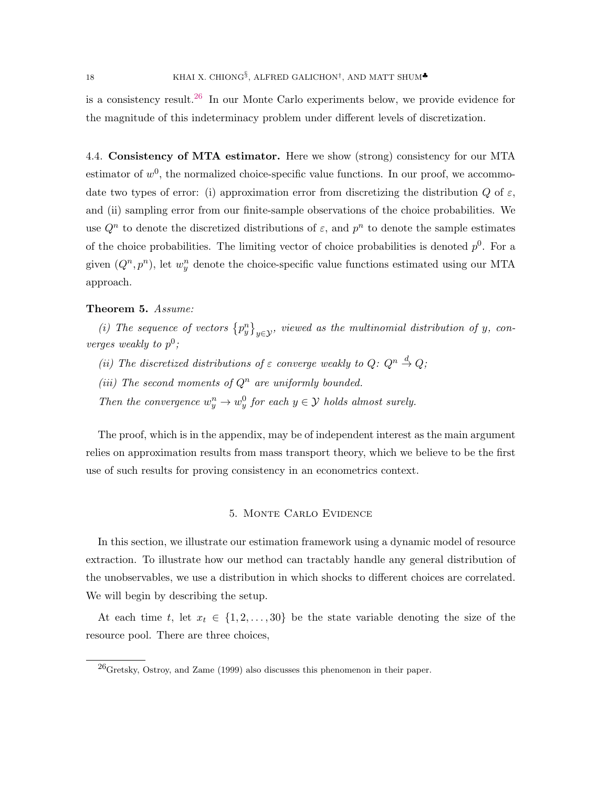is a consistency result.[26](#page-18-1) In our Monte Carlo experiments below, we provide evidence for the magnitude of this indeterminacy problem under different levels of discretization.

4.4. Consistency of MTA estimator. Here we show (strong) consistency for our MTA estimator of  $w^0$ , the normalized choice-specific value functions. In our proof, we accommodate two types of error: (i) approximation error from discretizing the distribution  $Q$  of  $\varepsilon$ , and (ii) sampling error from our finite-sample observations of the choice probabilities. We use  $Q^n$  to denote the discretized distributions of  $\varepsilon$ , and  $p^n$  to denote the sample estimates of the choice probabilities. The limiting vector of choice probabilities is denoted  $p^0$ . For a given  $(Q^n, p^n)$ , let  $w_y^n$  denote the choice-specific value functions estimated using our MTA approach.

#### <span id="page-18-0"></span>Theorem 5. Assume:

(i) The sequence of vectors  ${p_y^n}_{y \in Y}$ , viewed as the multinomial distribution of y, converges weakly to  $p^0$ ;

- (ii) The discretized distributions of  $\varepsilon$  converge weakly to  $Q: Q^n \stackrel{d}{\rightarrow} Q$ ;
- (iii) The second moments of  $Q^n$  are uniformly bounded.

Then the convergence  $w_y^n \to w_y^0$  for each  $y \in \mathcal{Y}$  holds almost surely.

The proof, which is in the appendix, may be of independent interest as the main argument relies on approximation results from mass transport theory, which we believe to be the first use of such results for proving consistency in an econometrics context.

### 5. Monte Carlo Evidence

In this section, we illustrate our estimation framework using a dynamic model of resource extraction. To illustrate how our method can tractably handle any general distribution of the unobservables, we use a distribution in which shocks to different choices are correlated. We will begin by describing the setup.

At each time t, let  $x_t \in \{1, 2, ..., 30\}$  be the state variable denoting the size of the resource pool. There are three choices,

<span id="page-18-1"></span> $^{26}$ Gretsky, Ostroy, and Zame (1999) also discusses this phenomenon in their paper.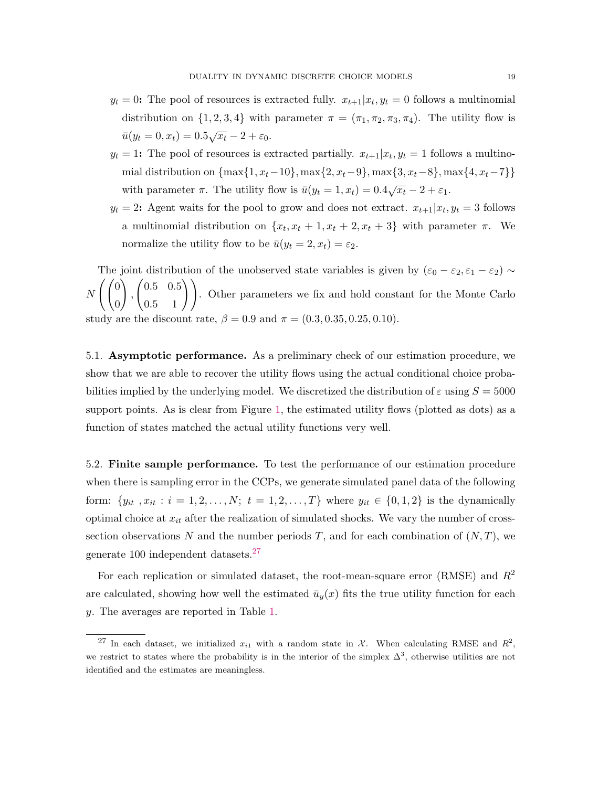- $y_t = 0$ : The pool of resources is extracted fully.  $x_{t+1}|x_t, y_t = 0$  follows a multinomial distribution on  $\{1, 2, 3, 4\}$  with parameter  $\pi = (\pi_1, \pi_2, \pi_3, \pi_4)$ . The utility flow is  $\bar{u}(y_t = 0, x_t) = 0.5\sqrt{x_t} - 2 + \varepsilon_0.$
- $y_t = 1$ : The pool of resources is extracted partially.  $x_{t+1}|x_t, y_t = 1$  follows a multinomial distribution on  $\{\max\{1, x_t-10\}, \max\{2, x_t-9\}, \max\{3, x_t-8\}, \max\{4, x_t-7\}\}\$ with parameter  $\pi$ . The utility flow is  $\bar{u}(y_t = 1, x_t) = 0.4\sqrt{x_t} - 2 + \varepsilon_1$ .
- $y_t = 2$ : Agent waits for the pool to grow and does not extract.  $x_{t+1}|x_t, y_t = 3$  follows a multinomial distribution on  $\{x_t, x_t + 1, x_t + 2, x_t + 3\}$  with parameter  $\pi$ . We normalize the utility flow to be  $\bar{u}(y_t = 2, x_t) = \varepsilon_2$ .

The joint distribution of the unobserved state variables is given by  $(\varepsilon_0 - \varepsilon_2, \varepsilon_1 - \varepsilon_2) \sim$ N  $\int$ 0 ! ,  $\begin{pmatrix} 0.5 & 0.5 \\ 0.5 & 1 \end{pmatrix}$ . Other parameters we fix and hold constant for the Monte Carlo study are the discount rate,  $\beta = 0.9$  and  $\pi = (0.3, 0.35, 0.25, 0.10)$ .

5.1. Asymptotic performance. As a preliminary check of our estimation procedure, we show that we are able to recover the utility flows using the actual conditional choice probabilities implied by the underlying model. We discretized the distribution of  $\varepsilon$  using  $S = 5000$ support points. As is clear from Figure [1,](#page-20-0) the estimated utility flows (plotted as dots) as a function of states matched the actual utility functions very well.

5.2. Finite sample performance. To test the performance of our estimation procedure when there is sampling error in the CCPs, we generate simulated panel data of the following form:  $\{y_{it}, x_{it} : i = 1, 2, ..., N; t = 1, 2, ..., T\}$  where  $y_{it} \in \{0, 1, 2\}$  is the dynamically optimal choice at  $x_{it}$  after the realization of simulated shocks. We vary the number of crosssection observations N and the number periods T, and for each combination of  $(N, T)$ , we generate 100 independent datasets.[27](#page-19-0)

For each replication or simulated dataset, the root-mean-square error (RMSE) and  $R^2$ are calculated, showing how well the estimated  $\bar{u}_y(x)$  fits the true utility function for each y. The averages are reported in Table [1.](#page-20-1)

<span id="page-19-0"></span><sup>&</sup>lt;sup>27</sup> In each dataset, we initialized  $x_{i1}$  with a random state in X. When calculating RMSE and  $R^2$ , we restrict to states where the probability is in the interior of the simplex  $\Delta^3$ , otherwise utilities are not identified and the estimates are meaningless.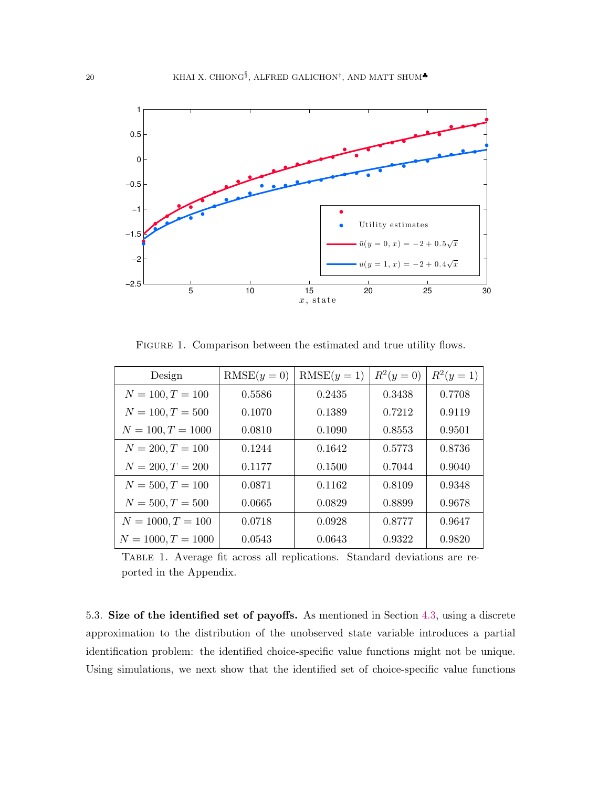<span id="page-20-0"></span>

FIGURE 1. Comparison between the estimated and true utility flows.

<span id="page-20-1"></span>

| Design               | $RMSE(y = 0)$ | $RMSE(y = 1)$ | $R^2(y=0)$ | $R^2(y=1)$ |
|----------------------|---------------|---------------|------------|------------|
| $N = 100, T = 100$   | 0.5586        | 0.2435        | 0.3438     | 0.7708     |
| $N = 100, T = 500$   | 0.1070        | 0.1389        | 0.7212     | 0.9119     |
| $N = 100, T = 1000$  | 0.0810        | 0.1090        | 0.8553     | 0.9501     |
| $N = 200, T = 100$   | 0.1244        | 0.1642        | 0.5773     | 0.8736     |
| $N = 200, T = 200$   | 0.1177        | 0.1500        | 0.7044     | 0.9040     |
| $N = 500, T = 100$   | 0.0871        | 0.1162        | 0.8109     | 0.9348     |
| $N = 500, T = 500$   | 0.0665        | 0.0829        | 0.8899     | 0.9678     |
| $N = 1000, T = 100$  | 0.0718        | 0.0928        | 0.8777     | 0.9647     |
| $N = 1000, T = 1000$ | 0.0543        | 0.0643        | 0.9322     | 0.9820     |

Table 1. Average fit across all replications. Standard deviations are reported in the Appendix.

5.3. Size of the identified set of payoffs. As mentioned in Section [4.3,](#page-16-5) using a discrete approximation to the distribution of the unobserved state variable introduces a partial identification problem: the identified choice-specific value functions might not be unique. Using simulations, we next show that the identified set of choice-specific value functions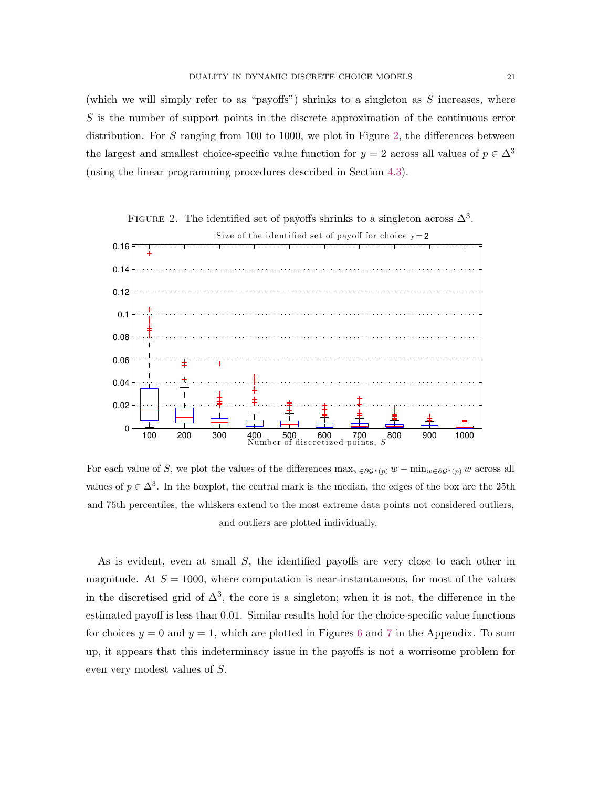(which we will simply refer to as "payoffs") shrinks to a singleton as  $S$  increases, where S is the number of support points in the discrete approximation of the continuous error distribution. For S ranging from 100 to 1000, we plot in Figure [2,](#page-21-0) the differences between the largest and smallest choice-specific value function for  $y = 2$  across all values of  $p \in \Delta^3$ (using the linear programming procedures described in Section [4.3\)](#page-16-5).

<span id="page-21-0"></span>

FIGURE 2. The identified set of payoffs shrinks to a singleton across  $\Delta^3$ .

For each value of S, we plot the values of the differences  $\max_{w \in \partial \mathcal{G}^*(p)} w - \min_{w \in \partial \mathcal{G}^*(p)} w$  across all values of  $p \in \Delta^3$ . In the boxplot, the central mark is the median, the edges of the box are the 25th and 75th percentiles, the whiskers extend to the most extreme data points not considered outliers, and outliers are plotted individually.

As is evident, even at small S, the identified payoffs are very close to each other in magnitude. At  $S = 1000$ , where computation is near-instantaneous, for most of the values in the discretised grid of  $\Delta^3$ , the core is a singleton; when it is not, the difference in the estimated payoff is less than 0.01. Similar results hold for the choice-specific value functions for choices  $y = 0$  and  $y = 1$ , which are plotted in Figures [6](#page-38-0) and [7](#page-39-0) in the Appendix. To sum up, it appears that this indeterminacy issue in the payoffs is not a worrisome problem for even very modest values of S.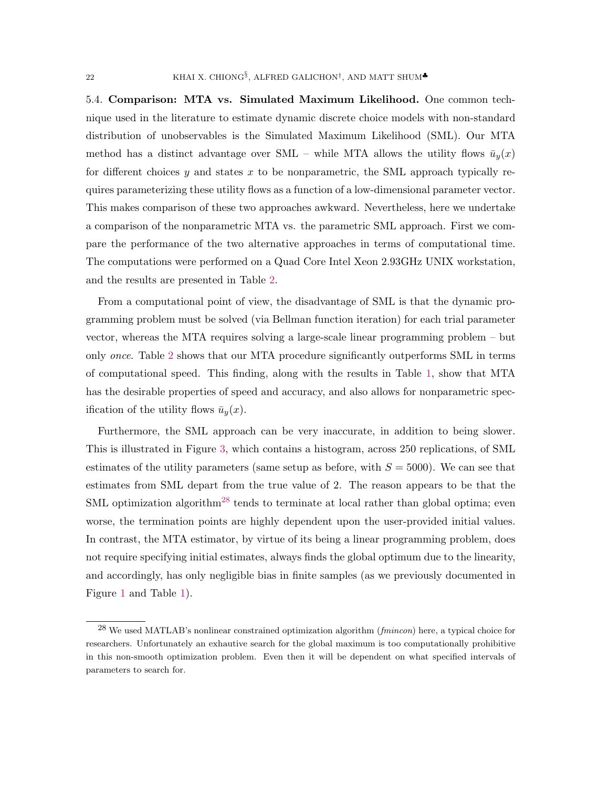5.4. Comparison: MTA vs. Simulated Maximum Likelihood. One common technique used in the literature to estimate dynamic discrete choice models with non-standard distribution of unobservables is the Simulated Maximum Likelihood (SML). Our MTA method has a distinct advantage over SML – while MTA allows the utility flows  $\bar{u}_y(x)$ for different choices y and states x to be nonparametric, the SML approach typically requires parameterizing these utility flows as a function of a low-dimensional parameter vector. This makes comparison of these two approaches awkward. Nevertheless, here we undertake a comparison of the nonparametric MTA vs. the parametric SML approach. First we compare the performance of the two alternative approaches in terms of computational time. The computations were performed on a Quad Core Intel Xeon 2.93GHz UNIX workstation, and the results are presented in Table [2.](#page-23-0)

From a computational point of view, the disadvantage of SML is that the dynamic programming problem must be solved (via Bellman function iteration) for each trial parameter vector, whereas the MTA requires solving a large-scale linear programming problem – but only once. Table [2](#page-23-0) shows that our MTA procedure significantly outperforms SML in terms of computational speed. This finding, along with the results in Table [1,](#page-20-1) show that MTA has the desirable properties of speed and accuracy, and also allows for nonparametric specification of the utility flows  $\bar{u}_y(x)$ .

Furthermore, the SML approach can be very inaccurate, in addition to being slower. This is illustrated in Figure [3,](#page-23-1) which contains a histogram, across 250 replications, of SML estimates of the utility parameters (same setup as before, with  $S = 5000$ ). We can see that estimates from SML depart from the true value of 2. The reason appears to be that the SML optimization algorithm<sup>[28](#page-22-0)</sup> tends to terminate at local rather than global optima; even worse, the termination points are highly dependent upon the user-provided initial values. In contrast, the MTA estimator, by virtue of its being a linear programming problem, does not require specifying initial estimates, always finds the global optimum due to the linearity, and accordingly, has only negligible bias in finite samples (as we previously documented in Figure [1](#page-20-0) and Table [1\)](#page-20-1).

<span id="page-22-0"></span> $^{28}$  We used MATLAB's nonlinear constrained optimization algorithm ( $fmincon$ ) here, a typical choice for researchers. Unfortunately an exhautive search for the global maximum is too computationally prohibitive in this non-smooth optimization problem. Even then it will be dependent on what specified intervals of parameters to search for.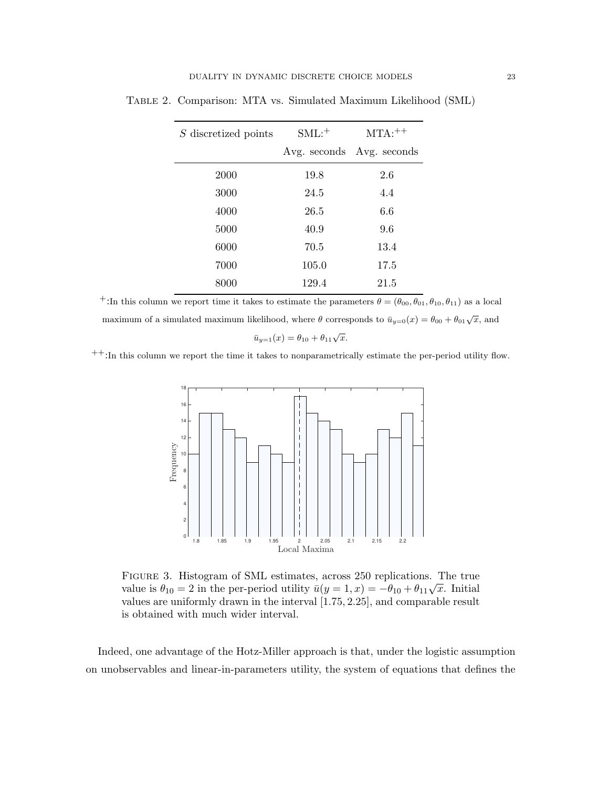| S discretized points | $SML:$ <sup>+</sup>       | $MTA:^{++}$ |  |
|----------------------|---------------------------|-------------|--|
|                      | Avg. seconds Avg. seconds |             |  |
| 2000                 | 19.8                      | 2.6         |  |
| 3000                 | 24.5                      | 4.4         |  |
| 4000                 | 26.5                      | 6.6         |  |
| 5000                 | 40.9                      | 9.6         |  |
| 6000                 | 70.5                      | 13.4        |  |
| 7000                 | 105.0                     | 17.5        |  |
| 8000                 | 129.4                     | 21.5        |  |

<span id="page-23-0"></span>Table 2. Comparison: MTA vs. Simulated Maximum Likelihood (SML)

<sup>+</sup>:In this column we report time it takes to estimate the parameters  $\theta = (\theta_{00}, \theta_{01}, \theta_{10}, \theta_{11})$  as a local maximum of a simulated maximum likelihood, where  $\theta$  corresponds to  $\bar{u}_{y=0}(x) = \theta_{00} + \theta_{01}\sqrt{x}$ , and  $\bar{u}_{y=1}(x) = \theta_{10} + \theta_{11}\sqrt{x}.$ 

<span id="page-23-1"></span>++:In this column we report the time it takes to nonparametrically estimate the per-period utility flow.



Figure 3. Histogram of SML estimates, across 250 replications. The true value is  $\theta_{10} = 2$  in the per-period utility  $\bar{u}(y = 1, x) = -\theta_{10} + \theta_{11}\sqrt{x}$ . Initial values are uniformly drawn in the interval [1.75, 2.25], and comparable result is obtained with much wider interval.

Indeed, one advantage of the Hotz-Miller approach is that, under the logistic assumption on unobservables and linear-in-parameters utility, the system of equations that defines the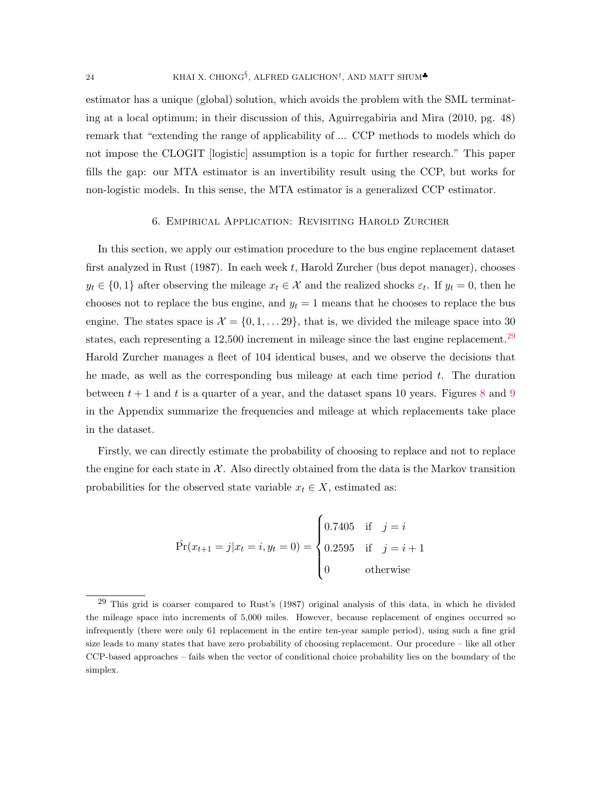estimator has a unique (global) solution, which avoids the problem with the SML terminating at a local optimum; in their discussion of this, Aguirregabiria and Mira (2010, pg. 48) remark that "extending the range of applicability of ... CCP methods to models which do not impose the CLOGIT [logistic] assumption is a topic for further research." This paper fills the gap: our MTA estimator is an invertibility result using the CCP, but works for non-logistic models. In this sense, the MTA estimator is a generalized CCP estimator.

### 6. Empirical Application: Revisiting Harold Zurcher

In this section, we apply our estimation procedure to the bus engine replacement dataset first analyzed in Rust (1987). In each week t, Harold Zurcher (bus depot manager), chooses  $y_t \in \{0, 1\}$  after observing the mileage  $x_t \in \mathcal{X}$  and the realized shocks  $\varepsilon_t$ . If  $y_t = 0$ , then he chooses not to replace the bus engine, and  $y_t = 1$  means that he chooses to replace the bus engine. The states space is  $\mathcal{X} = \{0, 1, \ldots 29\}$ , that is, we divided the mileage space into 30 states, each representing a 12,500 increment in mileage since the last engine replacement.<sup>[29](#page-24-0)</sup> Harold Zurcher manages a fleet of 104 identical buses, and we observe the decisions that he made, as well as the corresponding bus mileage at each time period  $t$ . The duration between  $t + 1$  and t is a quarter of a year, and the dataset spans 10 years. Figures [8](#page-40-0) and [9](#page-40-1) in the Appendix summarize the frequencies and mileage at which replacements take place in the dataset.

Firstly, we can directly estimate the probability of choosing to replace and not to replace the engine for each state in  $\mathcal{X}$ . Also directly obtained from the data is the Markov transition probabilities for the observed state variable  $x_t \in X$ , estimated as:

$$
\hat{\Pr}(x_{t+1} = j | x_t = i, y_t = 0) = \begin{cases} 0.7405 & \text{if } j = i \\ 0.2595 & \text{if } j = i + 1 \\ 0 & \text{otherwise} \end{cases}
$$

<span id="page-24-0"></span> $29$  This grid is coarser compared to Rust's (1987) original analysis of this data, in which he divided the mileage space into increments of 5,000 miles. However, because replacement of engines occurred so infrequently (there were only 61 replacement in the entire ten-year sample period), using such a fine grid size leads to many states that have zero probability of choosing replacement. Our procedure – like all other CCP-based approaches – fails when the vector of conditional choice probability lies on the boundary of the simplex.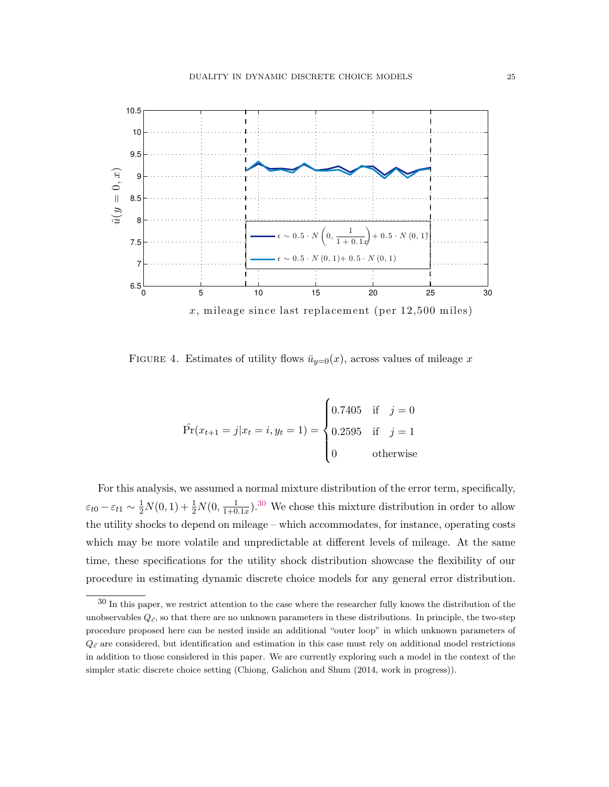<span id="page-25-1"></span>

FIGURE 4. Estimates of utility flows  $\bar{u}_{y=0}(x)$ , across values of mileage x

$$
\hat{Pr}(x_{t+1} = j | x_t = i, y_t = 1) = \begin{cases}\n0.7405 & \text{if } j = 0 \\
0.2595 & \text{if } j = 1 \\
0 & \text{otherwise}\n\end{cases}
$$

For this analysis, we assumed a normal mixture distribution of the error term, specifically,  $\varepsilon_{t0} - \varepsilon_{t1} \sim \frac{1}{2}N(0, 1) + \frac{1}{2}N(0, \frac{1}{1+0})$  $\frac{1}{1+0.1x}$ .<sup>[30](#page-25-0)</sup> We chose this mixture distribution in order to allow the utility shocks to depend on mileage – which accommodates, for instance, operating costs which may be more volatile and unpredictable at different levels of mileage. At the same time, these specifications for the utility shock distribution showcase the flexibility of our procedure in estimating dynamic discrete choice models for any general error distribution.

<span id="page-25-0"></span><sup>&</sup>lt;sup>30</sup> In this paper, we restrict attention to the case where the researcher fully knows the distribution of the unobservables  $Q_{\vec{\varepsilon}}$ , so that there are no unknown parameters in these distributions. In principle, the two-step procedure proposed here can be nested inside an additional "outer loop" in which unknown parameters of  $Q_{\varepsilon}$  are considered, but identification and estimation in this case must rely on additional model restrictions in addition to those considered in this paper. We are currently exploring such a model in the context of the simpler static discrete choice setting (Chiong, Galichon and Shum (2014, work in progress)).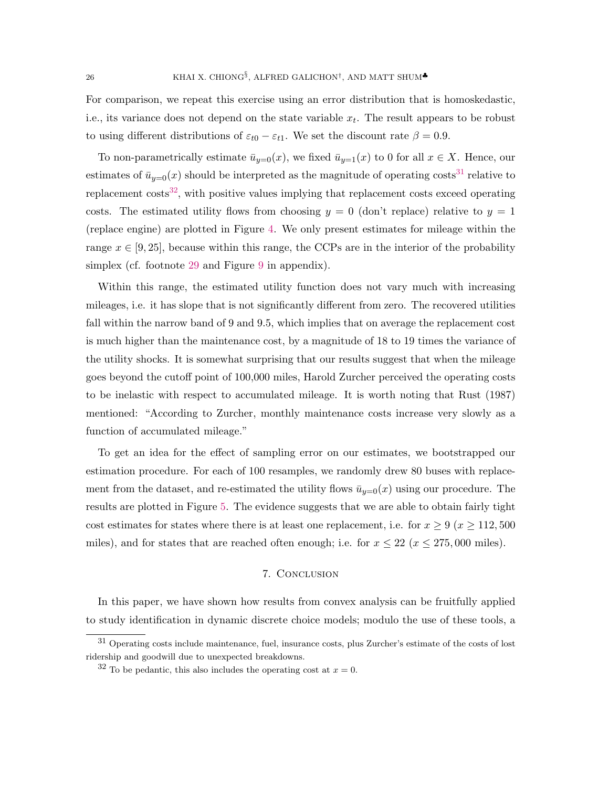For comparison, we repeat this exercise using an error distribution that is homoskedastic, i.e., its variance does not depend on the state variable  $x_t$ . The result appears to be robust to using different distributions of  $\varepsilon_{t0} - \varepsilon_{t1}$ . We set the discount rate  $\beta = 0.9$ .

To non-parametrically estimate  $\bar{u}_{y=0}(x)$ , we fixed  $\bar{u}_{y=1}(x)$  to 0 for all  $x \in X$ . Hence, our estimates of  $\bar{u}_{y=0}(x)$  should be interpreted as the magnitude of operating costs<sup>[31](#page-26-0)</sup> relative to replacement  $\cos t s^{32}$  $\cos t s^{32}$  $\cos t s^{32}$ , with positive values implying that replacement costs exceed operating costs. The estimated utility flows from choosing  $y = 0$  (don't replace) relative to  $y = 1$ (replace engine) are plotted in Figure [4.](#page-25-1) We only present estimates for mileage within the range  $x \in [9, 25]$ , because within this range, the CCPs are in the interior of the probability simplex (cf. footnote [29](#page-24-0) and Figure [9](#page-40-1) in appendix).

Within this range, the estimated utility function does not vary much with increasing mileages, i.e. it has slope that is not significantly different from zero. The recovered utilities fall within the narrow band of 9 and 9.5, which implies that on average the replacement cost is much higher than the maintenance cost, by a magnitude of 18 to 19 times the variance of the utility shocks. It is somewhat surprising that our results suggest that when the mileage goes beyond the cutoff point of 100,000 miles, Harold Zurcher perceived the operating costs to be inelastic with respect to accumulated mileage. It is worth noting that Rust (1987) mentioned: "According to Zurcher, monthly maintenance costs increase very slowly as a function of accumulated mileage."

To get an idea for the effect of sampling error on our estimates, we bootstrapped our estimation procedure. For each of 100 resamples, we randomly drew 80 buses with replacement from the dataset, and re-estimated the utility flows  $\bar{u}_{y=0}(x)$  using our procedure. The results are plotted in Figure [5.](#page-27-0) The evidence suggests that we are able to obtain fairly tight cost estimates for states where there is at least one replacement, i.e. for  $x \ge 9$  ( $x \ge 112,500$ ) miles), and for states that are reached often enough; i.e. for  $x \le 22$  ( $x \le 275,000$  miles).

### 7. Conclusion

In this paper, we have shown how results from convex analysis can be fruitfully applied to study identification in dynamic discrete choice models; modulo the use of these tools, a

<span id="page-26-0"></span><sup>&</sup>lt;sup>31</sup> Operating costs include maintenance, fuel, insurance costs, plus Zurcher's estimate of the costs of lost ridership and goodwill due to unexpected breakdowns.

<span id="page-26-1"></span> $32$  To be pedantic, this also includes the operating cost at  $x = 0$ .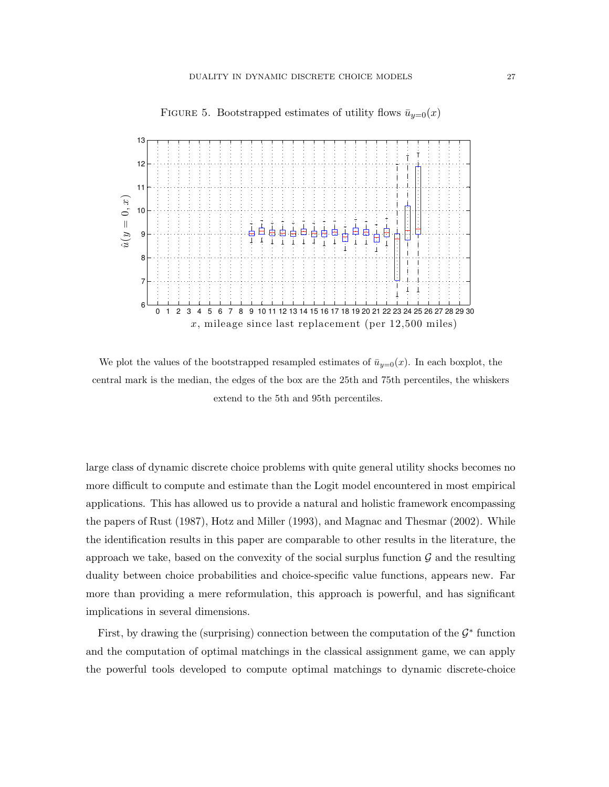<span id="page-27-0"></span>



We plot the values of the bootstrapped resampled estimates of  $\bar{u}_{y=0}(x)$ . In each boxplot, the central mark is the median, the edges of the box are the 25th and 75th percentiles, the whiskers extend to the 5th and 95th percentiles.

large class of dynamic discrete choice problems with quite general utility shocks becomes no more difficult to compute and estimate than the Logit model encountered in most empirical applications. This has allowed us to provide a natural and holistic framework encompassing the papers of Rust (1987), Hotz and Miller (1993), and Magnac and Thesmar (2002). While the identification results in this paper are comparable to other results in the literature, the approach we take, based on the convexity of the social surplus function  $\mathcal G$  and the resulting duality between choice probabilities and choice-specific value functions, appears new. Far more than providing a mere reformulation, this approach is powerful, and has significant implications in several dimensions.

First, by drawing the (surprising) connection between the computation of the  $\mathcal{G}^*$  function and the computation of optimal matchings in the classical assignment game, we can apply the powerful tools developed to compute optimal matchings to dynamic discrete-choice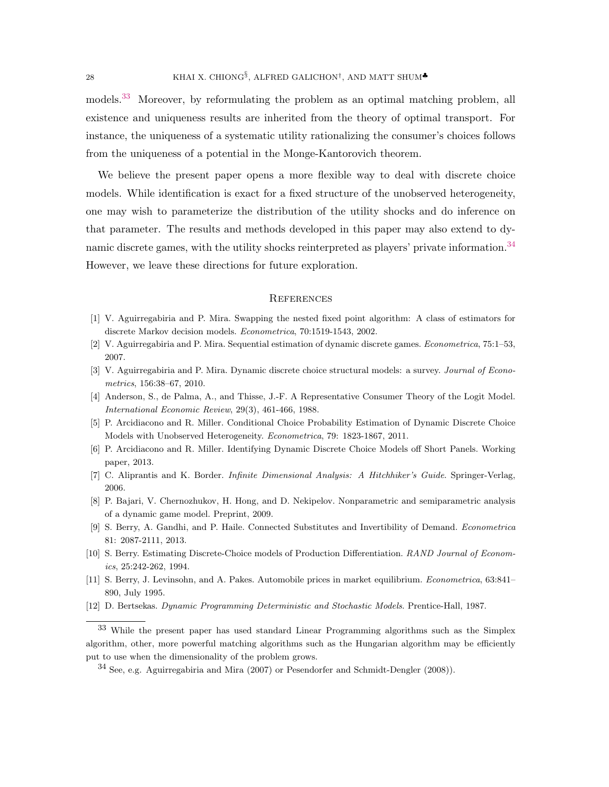models.<sup>[33](#page-28-0)</sup> Moreover, by reformulating the problem as an optimal matching problem, all existence and uniqueness results are inherited from the theory of optimal transport. For instance, the uniqueness of a systematic utility rationalizing the consumer's choices follows from the uniqueness of a potential in the Monge-Kantorovich theorem.

We believe the present paper opens a more flexible way to deal with discrete choice models. While identification is exact for a fixed structure of the unobserved heterogeneity, one may wish to parameterize the distribution of the utility shocks and do inference on that parameter. The results and methods developed in this paper may also extend to dy-namic discrete games, with the utility shocks reinterpreted as players' private information.<sup>[34](#page-28-1)</sup> However, we leave these directions for future exploration.

#### **REFERENCES**

- [1] V. Aguirregabiria and P. Mira. Swapping the nested fixed point algorithm: A class of estimators for discrete Markov decision models. Econometrica, 70:1519-1543, 2002.
- [2] V. Aguirregabiria and P. Mira. Sequential estimation of dynamic discrete games. Econometrica, 75:1–53, 2007.
- [3] V. Aguirregabiria and P. Mira. Dynamic discrete choice structural models: a survey. Journal of Econometrics, 156:38–67, 2010.
- [4] Anderson, S., de Palma, A., and Thisse, J.-F. A Representative Consumer Theory of the Logit Model. International Economic Review, 29(3), 461-466, 1988.
- [5] P. Arcidiacono and R. Miller. Conditional Choice Probability Estimation of Dynamic Discrete Choice Models with Unobserved Heterogeneity. Econometrica, 79: 1823-1867, 2011.
- [6] P. Arcidiacono and R. Miller. Identifying Dynamic Discrete Choice Models off Short Panels. Working paper, 2013.
- [7] C. Aliprantis and K. Border. Infinite Dimensional Analysis: A Hitchhiker's Guide. Springer-Verlag, 2006.
- [8] P. Bajari, V. Chernozhukov, H. Hong, and D. Nekipelov. Nonparametric and semiparametric analysis of a dynamic game model. Preprint, 2009.
- [9] S. Berry, A. Gandhi, and P. Haile. Connected Substitutes and Invertibility of Demand. Econometrica 81: 2087-2111, 2013.
- [10] S. Berry. Estimating Discrete-Choice models of Production Differentiation. RAND Journal of Economics, 25:242-262, 1994.
- [11] S. Berry, J. Levinsohn, and A. Pakes. Automobile prices in market equilibrium. Econometrica, 63:841– 890, July 1995.
- [12] D. Bertsekas. Dynamic Programming Deterministic and Stochastic Models. Prentice-Hall, 1987.

<span id="page-28-0"></span><sup>33</sup> While the present paper has used standard Linear Programming algorithms such as the Simplex algorithm, other, more powerful matching algorithms such as the Hungarian algorithm may be efficiently put to use when the dimensionality of the problem grows.

<span id="page-28-1"></span><sup>34</sup> See, e.g. Aguirregabiria and Mira (2007) or Pesendorfer and Schmidt-Dengler (2008)).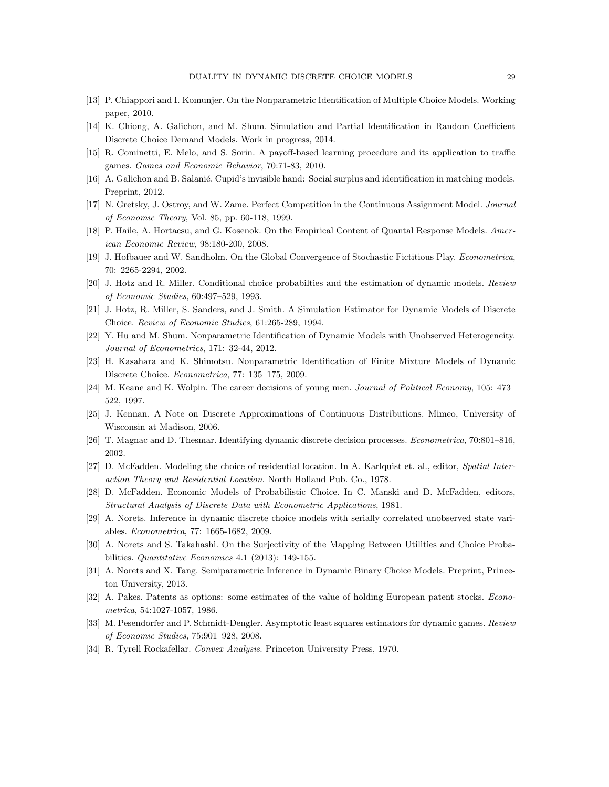- [13] P. Chiappori and I. Komunjer. On the Nonparametric Identification of Multiple Choice Models. Working paper, 2010.
- [14] K. Chiong, A. Galichon, and M. Shum. Simulation and Partial Identification in Random Coefficient Discrete Choice Demand Models. Work in progress, 2014.
- [15] R. Cominetti, E. Melo, and S. Sorin. A payoff-based learning procedure and its application to traffic games. Games and Economic Behavior, 70:71-83, 2010.
- [16] A. Galichon and B. Salanié. Cupid's invisible hand: Social surplus and identification in matching models. Preprint, 2012.
- [17] N. Gretsky, J. Ostroy, and W. Zame. Perfect Competition in the Continuous Assignment Model. Journal of Economic Theory, Vol. 85, pp. 60-118, 1999.
- [18] P. Haile, A. Hortacsu, and G. Kosenok. On the Empirical Content of Quantal Response Models. American Economic Review, 98:180-200, 2008.
- [19] J. Hofbauer and W. Sandholm. On the Global Convergence of Stochastic Fictitious Play. Econometrica, 70: 2265-2294, 2002.
- [20] J. Hotz and R. Miller. Conditional choice probabilties and the estimation of dynamic models. Review of Economic Studies, 60:497–529, 1993.
- [21] J. Hotz, R. Miller, S. Sanders, and J. Smith. A Simulation Estimator for Dynamic Models of Discrete Choice. Review of Economic Studies, 61:265-289, 1994.
- [22] Y. Hu and M. Shum. Nonparametric Identification of Dynamic Models with Unobserved Heterogeneity. Journal of Econometrics, 171: 32-44, 2012.
- [23] H. Kasahara and K. Shimotsu. Nonparametric Identification of Finite Mixture Models of Dynamic Discrete Choice. Econometrica, 77: 135–175, 2009.
- [24] M. Keane and K. Wolpin. The career decisions of young men. Journal of Political Economy, 105: 473– 522, 1997.
- [25] J. Kennan. A Note on Discrete Approximations of Continuous Distributions. Mimeo, University of Wisconsin at Madison, 2006.
- [26] T. Magnac and D. Thesmar. Identifying dynamic discrete decision processes. Econometrica, 70:801–816, 2002.
- [27] D. McFadden. Modeling the choice of residential location. In A. Karlquist et. al., editor, Spatial Interaction Theory and Residential Location. North Holland Pub. Co., 1978.
- [28] D. McFadden. Economic Models of Probabilistic Choice. In C. Manski and D. McFadden, editors, Structural Analysis of Discrete Data with Econometric Applications, 1981.
- [29] A. Norets. Inference in dynamic discrete choice models with serially correlated unobserved state variables. Econometrica, 77: 1665-1682, 2009.
- [30] A. Norets and S. Takahashi. On the Surjectivity of the Mapping Between Utilities and Choice Probabilities. Quantitative Economics 4.1 (2013): 149-155.
- [31] A. Norets and X. Tang. Semiparametric Inference in Dynamic Binary Choice Models. Preprint, Princeton University, 2013.
- [32] A. Pakes. Patents as options: some estimates of the value of holding European patent stocks. Econometrica, 54:1027-1057, 1986.
- [33] M. Pesendorfer and P. Schmidt-Dengler. Asymptotic least squares estimators for dynamic games. Review of Economic Studies, 75:901–928, 2008.
- [34] R. Tyrell Rockafellar. Convex Analysis. Princeton University Press, 1970.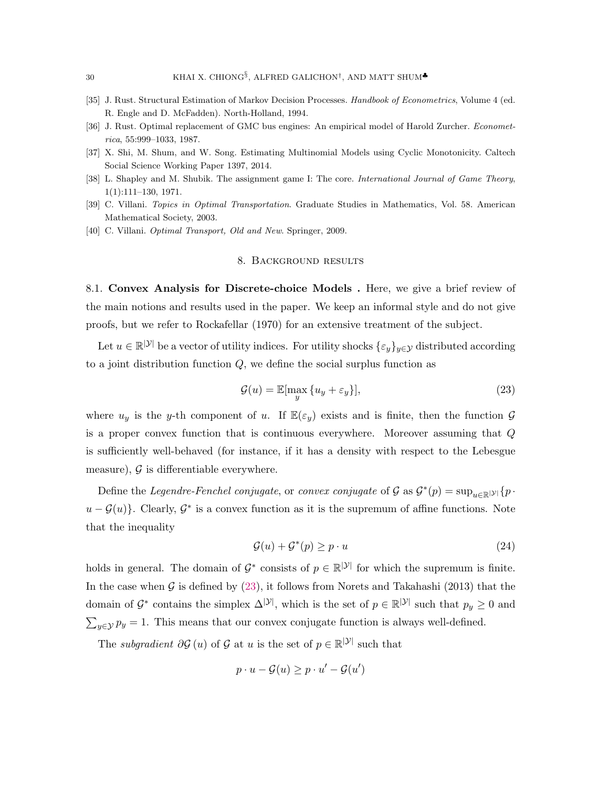- [35] J. Rust. Structural Estimation of Markov Decision Processes. Handbook of Econometrics, Volume 4 (ed. R. Engle and D. McFadden). North-Holland, 1994.
- [36] J. Rust. Optimal replacement of GMC bus engines: An empirical model of Harold Zurcher. Econometrica, 55:999–1033, 1987.
- [37] X. Shi, M. Shum, and W. Song. Estimating Multinomial Models using Cyclic Monotonicity. Caltech Social Science Working Paper 1397, 2014.
- [38] L. Shapley and M. Shubik. The assignment game I: The core. International Journal of Game Theory, 1(1):111–130, 1971.
- [39] C. Villani. Topics in Optimal Transportation. Graduate Studies in Mathematics, Vol. 58. American Mathematical Society, 2003.
- [40] C. Villani. Optimal Transport, Old and New. Springer, 2009.

#### 8. Background results

<span id="page-30-2"></span>8.1. Convex Analysis for Discrete-choice Models . Here, we give a brief review of the main notions and results used in the paper. We keep an informal style and do not give proofs, but we refer to Rockafellar (1970) for an extensive treatment of the subject.

Let  $u \in \mathbb{R}^{|\mathcal{Y}|}$  be a vector of utility indices. For utility shocks  $\{\varepsilon_y\}_{y \in \mathcal{Y}}$  distributed according to a joint distribution function  $Q$ , we define the social surplus function as

<span id="page-30-0"></span>
$$
\mathcal{G}(u) = \mathbb{E}[\max_{y} \{u_y + \varepsilon_y\}],\tag{23}
$$

where  $u_y$  is the y-th component of u. If  $\mathbb{E}(\varepsilon_y)$  exists and is finite, then the function  $\mathcal G$ is a proper convex function that is continuous everywhere. Moreover assuming that Q is sufficiently well-behaved (for instance, if it has a density with respect to the Lebesgue measure),  $\mathcal G$  is differentiable everywhere.

Define the Legendre-Fenchel conjugate, or convex conjugate of  $\mathcal G$  as  $\mathcal G^*(p) = \sup_{u \in \mathbb{R}} \mathcal V | \{p \cdot \mathcal V\}$  $u - \mathcal{G}(u)$ . Clearly,  $\mathcal{G}^*$  is a convex function as it is the supremum of affine functions. Note that the inequality

<span id="page-30-1"></span>
$$
\mathcal{G}(u) + \mathcal{G}^*(p) \ge p \cdot u \tag{24}
$$

holds in general. The domain of  $\mathcal{G}^*$  consists of  $p \in \mathbb{R}^{|\mathcal{Y}|}$  for which the supremum is finite. In the case when G is defined by  $(23)$ , it follows from Norets and Takahashi  $(2013)$  that the domain of  $\mathcal{G}^*$  contains the simplex  $\Delta^{|\mathcal{Y}|}$ , which is the set of  $p \in \mathbb{R}^{|\mathcal{Y}|}$  such that  $p_y \ge 0$  and  $\sum_{y \in \mathcal{Y}} p_y = 1$ . This means that our convex conjugate function is always well-defined.

The *subgradient*  $\partial \mathcal{G}(u)$  of  $\mathcal{G}$  at u is the set of  $p \in \mathbb{R}^{|\mathcal{Y}|}$  such that

$$
p \cdot u - \mathcal{G}(u) \ge p \cdot u' - \mathcal{G}(u')
$$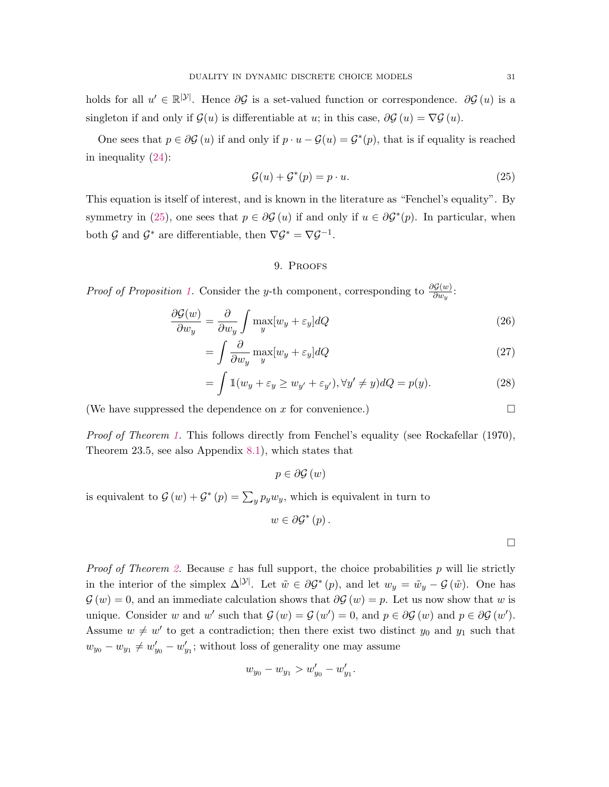holds for all  $u' \in \mathbb{R}^{|\mathcal{Y}|}$ . Hence  $\partial \mathcal{G}$  is a set-valued function or correspondence.  $\partial \mathcal{G}(u)$  is a singleton if and only if  $\mathcal{G}(u)$  is differentiable at u; in this case,  $\partial \mathcal{G}(u) = \nabla \mathcal{G}(u)$ .

One sees that  $p \in \partial \mathcal{G}(u)$  if and only if  $p \cdot u - \mathcal{G}(u) = \mathcal{G}^*(p)$ , that is if equality is reached in inequality [\(24\)](#page-30-1):

<span id="page-31-0"></span>
$$
\mathcal{G}(u) + \mathcal{G}^*(p) = p \cdot u. \tag{25}
$$

This equation is itself of interest, and is known in the literature as "Fenchel's equality". By symmetry in [\(25\)](#page-31-0), one sees that  $p \in \partial \mathcal{G}(u)$  if and only if  $u \in \partial \mathcal{G}^*(p)$ . In particular, when both  $\mathcal{G}$  and  $\mathcal{G}^*$  are differentiable, then  $\nabla \mathcal{G}^* = \nabla \mathcal{G}^{-1}$ .

#### 9. PROOFS

*Proof of Proposition [1.](#page-6-4)* Consider the y-th component, corresponding to  $\frac{\partial \mathcal{G}(w)}{\partial w_y}$ :

$$
\frac{\partial \mathcal{G}(w)}{\partial w_y} = \frac{\partial}{\partial w_y} \int \max_y [w_y + \varepsilon_y] dQ \tag{26}
$$

$$
= \int \frac{\partial}{\partial w_y} \max_y [w_y + \varepsilon_y] dQ \tag{27}
$$

$$
= \int \mathbb{1}(w_y + \varepsilon_y \ge w_{y'} + \varepsilon_{y'}), \forall y' \ne y) dQ = p(y).
$$
 (28)

(We have suppressed the dependence on x for convenience.)  $\Box$ 

Proof of Theorem [1.](#page-7-2) This follows directly from Fenchel's equality (see Rockafellar (1970), Theorem 23.5, see also Appendix [8.1\)](#page-30-2), which states that

$$
p\in\partial\mathcal{G}\left(w\right)
$$

is equivalent to  $\mathcal{G}(w) + \mathcal{G}^*(p) = \sum_y p_y w_y$ , which is equivalent in turn to

$$
w \in \partial \mathcal{G}^*(p).
$$
  
Proof of Theorem 2. Because  $\varepsilon$  has full support, the choice probabilities  $p$  will lie strictly  
in the interior of the simplex  $\Delta^{|\mathcal{Y}|}$ . Let  $\tilde{w} \in \partial \mathcal{G}^*(p)$  and let  $w = \tilde{w} = \mathcal{G}(\tilde{w})$ . One has

in the interior of the simplex  $\Delta^{|\mathcal{Y}|}$ . Let  $\tilde{w} \in \partial \mathcal{G}^*(p)$ , and let  $w_y = \tilde{w}_y - \mathcal{G}(\tilde{w})$ . One has  $\mathcal{G}(w) = 0$ , and an immediate calculation shows that  $\partial \mathcal{G}(w) = p$ . Let us now show that w is unique. Consider w and w' such that  $\mathcal{G}(w) = \mathcal{G}(w') = 0$ , and  $p \in \partial \mathcal{G}(w)$  and  $p \in \partial \mathcal{G}(w')$ . Assume  $w \neq w'$  to get a contradiction; then there exist two distinct  $y_0$  and  $y_1$  such that  $w_{y_0} - w_{y_1} \neq w'_{y_0} - w'_{y_1}$ ; without loss of generality one may assume

$$
w_{y_0} - w_{y_1} > w'_{y_0} - w'_{y_1}.
$$

 $\Box$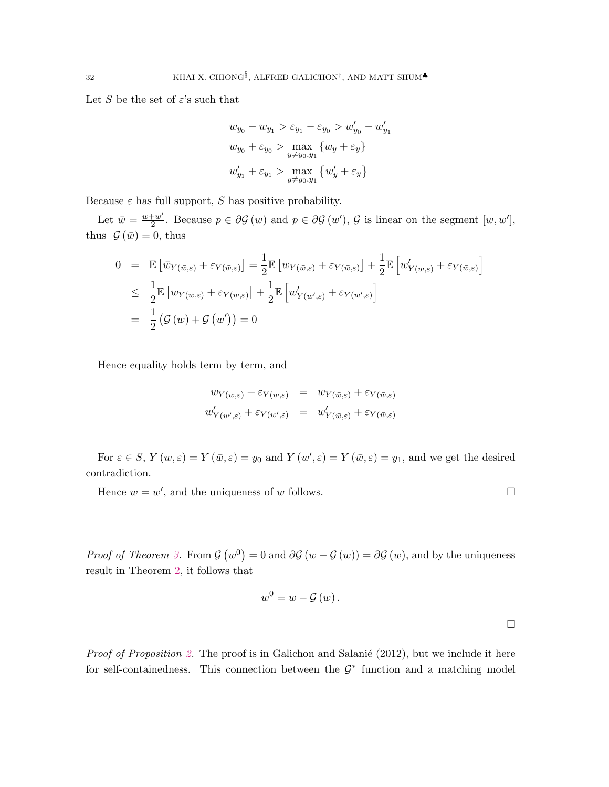Let S be the set of  $\varepsilon$ 's such that

$$
w_{y_0} - w_{y_1} > \varepsilon_{y_1} - \varepsilon_{y_0} > w'_{y_0} - w'_{y_1}
$$
  

$$
w_{y_0} + \varepsilon_{y_0} > \max_{y \neq y_0, y_1} \{w_y + \varepsilon_y\}
$$
  

$$
w'_{y_1} + \varepsilon_{y_1} > \max_{y \neq y_0, y_1} \{w'_y + \varepsilon_y\}
$$

Because  $\varepsilon$  has full support, S has positive probability.

Let  $\bar{w} = \frac{w + w'}{2}$  $\frac{1+w'}{2}$ . Because  $p \in \partial \mathcal{G}(w)$  and  $p \in \partial \mathcal{G}(w')$ ,  $\mathcal{G}$  is linear on the segment  $[w, w']$ , thus  $\mathcal{G}(\bar{w}) = 0$ , thus

$$
0 = \mathbb{E} \left[ \bar{w}_{Y(\bar{w},\varepsilon)} + \varepsilon_{Y(\bar{w},\varepsilon)} \right] = \frac{1}{2} \mathbb{E} \left[ w_{Y(\bar{w},\varepsilon)} + \varepsilon_{Y(\bar{w},\varepsilon)} \right] + \frac{1}{2} \mathbb{E} \left[ w'_{Y(\bar{w},\varepsilon)} + \varepsilon_{Y(\bar{w},\varepsilon)} \right]
$$
  
\n
$$
\leq \frac{1}{2} \mathbb{E} \left[ w_{Y(w,\varepsilon)} + \varepsilon_{Y(w,\varepsilon)} \right] + \frac{1}{2} \mathbb{E} \left[ w'_{Y(w',\varepsilon)} + \varepsilon_{Y(w',\varepsilon)} \right]
$$
  
\n
$$
= \frac{1}{2} \left( \mathcal{G}(w) + \mathcal{G}(w') \right) = 0
$$

Hence equality holds term by term, and

$$
w_{Y(w,\varepsilon)} + \varepsilon_{Y(w,\varepsilon)} = w_{Y(\bar{w},\varepsilon)} + \varepsilon_{Y(\bar{w},\varepsilon)}
$$
  

$$
w'_{Y(w',\varepsilon)} + \varepsilon_{Y(w',\varepsilon)} = w'_{Y(\bar{w},\varepsilon)} + \varepsilon_{Y(\bar{w},\varepsilon)}
$$

For  $\varepsilon \in S$ ,  $Y(w, \varepsilon) = Y(\bar{w}, \varepsilon) = y_0$  and  $Y(w', \varepsilon) = Y(\bar{w}, \varepsilon) = y_1$ , and we get the desired contradiction.

Hence  $w = w'$ , and the uniqueness of w follows.

*Proof of Theorem [3.](#page-10-0)* From  $\mathcal{G}(w^0) = 0$  and  $\partial \mathcal{G}(w - \mathcal{G}(w)) = \partial \mathcal{G}(w)$ , and by the uniqueness result in Theorem [2,](#page-9-0) it follows that

$$
w^{0}=w-\mathcal{G}\left( w\right) .
$$

 $\Box$ 

*Proof of Proposition [2.](#page-14-2)* The proof is in Galichon and Salanie  $(2012)$ , but we include it here for self-containedness. This connection between the  $\mathcal{G}^*$  function and a matching model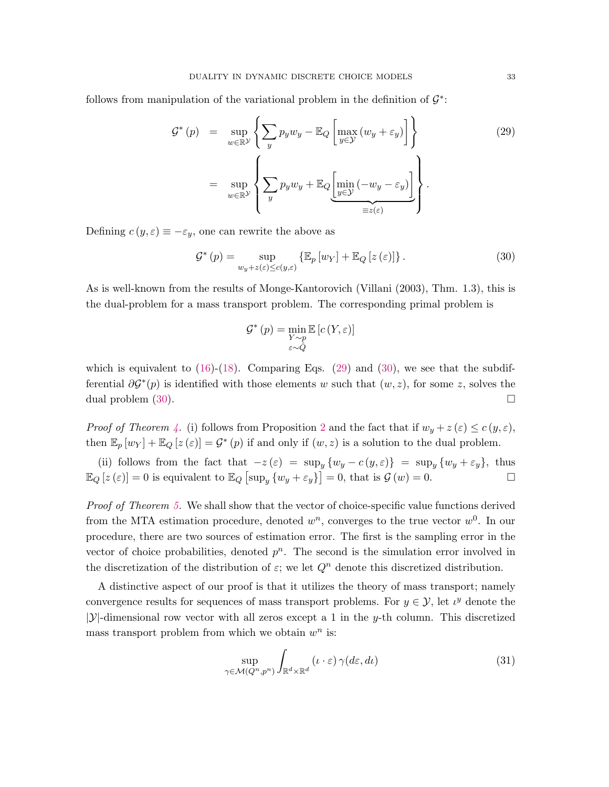follows from manipulation of the variational problem in the definition of  $\mathcal{G}^*$ :

<span id="page-33-0"></span>
$$
\mathcal{G}^*(p) = \sup_{w \in \mathbb{R}^{\mathcal{Y}}} \left\{ \sum_y p_y w_y - \mathbb{E}_Q \left[ \max_{y \in \mathcal{Y}} (w_y + \varepsilon_y) \right] \right\}
$$
\n
$$
= \sup_{w \in \mathbb{R}^{\mathcal{Y}}} \left\{ \sum_y p_y w_y + \mathbb{E}_Q \left[ \min_{y \in \mathcal{Y}} (-w_y - \varepsilon_y) \right] \right\}.
$$
\n(29)

Defining  $c(y, \varepsilon) \equiv -\varepsilon_y$ , one can rewrite the above as

<span id="page-33-1"></span>
$$
\mathcal{G}^*(p) = \sup_{w_y + z(\varepsilon) \le c(y,\varepsilon)} \left\{ \mathbb{E}_p \left[ w_Y \right] + \mathbb{E}_Q \left[ z(\varepsilon) \right] \right\}. \tag{30}
$$

As is well-known from the results of Monge-Kantorovich (Villani (2003), Thm. 1.3), this is the dual-problem for a mass transport problem. The corresponding primal problem is

$$
\mathcal{G}^*\left(p\right) = \min_{\substack{Y \sim p \\ \varepsilon \sim \hat{Q}}} \mathbb{E}\left[c\left(Y, \varepsilon\right)\right]
$$

which is equivalent to  $(16)-(18)$  $(16)-(18)$  $(16)-(18)$ . Comparing Eqs.  $(29)$  and  $(30)$ , we see that the subdifferential  $\partial \mathcal{G}^*(p)$  is identified with those elements w such that  $(w, z)$ , for some z, solves the dual problem  $(30)$ .

*Proof of Theorem [4.](#page-17-0)* (i) follows from Proposition [2](#page-14-2) and the fact that if  $w_y + z(\varepsilon) \leq c(y, \varepsilon)$ , then  $\mathbb{E}_p[w_Y] + \mathbb{E}_Q[z(\varepsilon)] = \mathcal{G}^*(p)$  if and only if  $(w, z)$  is a solution to the dual problem.

(ii) follows from the fact that  $-z(\varepsilon) = \sup_y \{ w_y - c(y, \varepsilon) \} = \sup_y \{ w_y + \varepsilon_y \}$ , thus  $\mathbb{E}_Q [z(\varepsilon)] = 0$  is equivalent to  $\mathbb{E}_Q [\sup_y \{w_y + \varepsilon_y\}] = 0$ , that is  $\mathcal{G}(w) = 0$ .

Proof of Theorem [5.](#page-18-0) We shall show that the vector of choice-specific value functions derived from the MTA estimation procedure, denoted  $w<sup>n</sup>$ , converges to the true vector  $w<sup>0</sup>$ . In our procedure, there are two sources of estimation error. The first is the sampling error in the vector of choice probabilities, denoted  $p<sup>n</sup>$ . The second is the simulation error involved in the discretization of the distribution of  $\varepsilon$ ; we let  $Q<sup>n</sup>$  denote this discretized distribution.

A distinctive aspect of our proof is that it utilizes the theory of mass transport; namely convergence results for sequences of mass transport problems. For  $y \in \mathcal{Y}$ , let  $\iota^y$  denote the  $|\mathcal{Y}|$ -dimensional row vector with all zeros except a 1 in the y-th column. This discretized mass transport problem from which we obtain  $w^n$  is:

<span id="page-33-2"></span>
$$
\sup_{\gamma \in \mathcal{M}(Q^n, p^n)} \int_{\mathbb{R}^d \times \mathbb{R}^d} \left( \iota \cdot \varepsilon \right) \gamma(d\varepsilon, d\varepsilon) \tag{31}
$$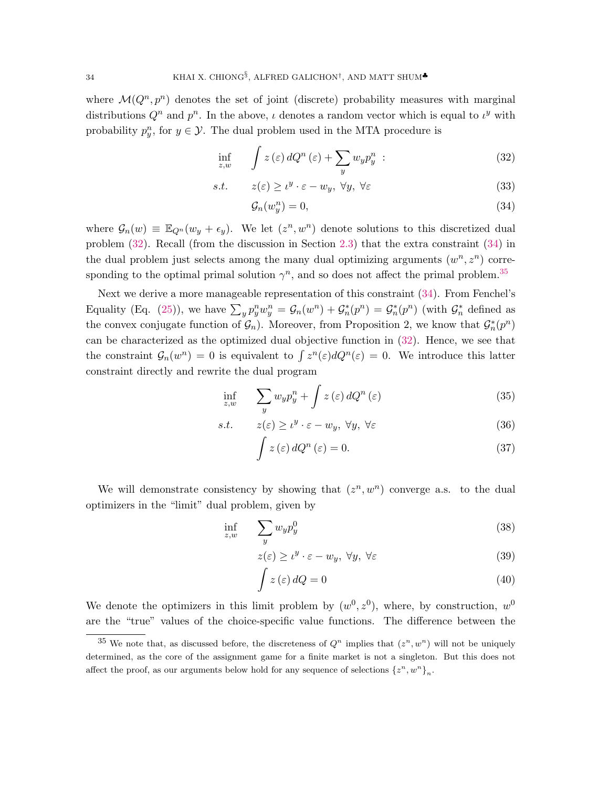where  $\mathcal{M}(Q^n, p^n)$  denotes the set of joint (discrete) probability measures with marginal distributions  $Q^n$  and  $p^n$ . In the above,  $\iota$  denotes a random vector which is equal to  $\iota^y$  with probability  $p_y^n$ , for  $y \in \mathcal{Y}$ . The dual problem used in the MTA procedure is

<span id="page-34-0"></span>
$$
\inf_{z,w} \qquad \int z(\varepsilon) \, dQ^n(\varepsilon) + \sum_y w_y p_y^n \, : \tag{32}
$$

$$
s.t. \t z(\varepsilon) \geq \iota^y \cdot \varepsilon - w_y, \ \forall y, \ \forall \varepsilon \t\t(33)
$$

$$
\mathcal{G}_n(w_y^n) = 0,\t\t(34)
$$

where  $\mathcal{G}_n(w) \equiv \mathbb{E}_{Q^n}(w_y + \epsilon_y)$ . We let  $(z^n, w^n)$  denote solutions to this discretized dual problem [\(32\)](#page-34-0). Recall (from the discussion in Section [2.3\)](#page-9-3) that the extra constraint [\(34\)](#page-34-0) in the dual problem just selects among the many dual optimizing arguments  $(w^n, z^n)$  corresponding to the optimal primal solution  $\gamma^n$ , and so does not affect the primal problem.<sup>[35](#page-34-1)</sup>

Next we derive a more manageable representation of this constraint [\(34\)](#page-34-0). From Fenchel's Equality (Eq. [\(25\)](#page-31-0)), we have  $\sum_{y} p_{y}^{n} w_{y}^{n} = \mathcal{G}_{n}(w^{n}) + \mathcal{G}_{n}^{*}(p^{n}) = \mathcal{G}_{n}^{*}(p^{n})$  (with  $\mathcal{G}_{n}^{*}$  defined as the convex conjugate function of  $\mathcal{G}_n$ ). Moreover, from Proposition 2, we know that  $\mathcal{G}_n^*(p^n)$ can be characterized as the optimized dual objective function in [\(32\)](#page-34-0). Hence, we see that the constraint  $\mathcal{G}_n(w^n) = 0$  is equivalent to  $\int z^n(\varepsilon)dQ^n(\varepsilon) = 0$ . We introduce this latter constraint directly and rewrite the dual program

<span id="page-34-2"></span>
$$
\inf_{z,w} \qquad \sum_{y} w_y p_y^n + \int z(\varepsilon) \, dQ^n(\varepsilon) \tag{35}
$$

$$
s.t. \t z(\varepsilon) \ge \iota^y \cdot \varepsilon - w_y, \ \forall y, \ \forall \varepsilon \t (36)
$$

$$
\int z(\varepsilon) dQ^n(\varepsilon) = 0.
$$
\n(37)

We will demonstrate consistency by showing that  $(z^n, w^n)$  converge a.s. to the dual optimizers in the "limit" dual problem, given by

<span id="page-34-3"></span>
$$
\inf_{z,w} \qquad \sum_{y} w_y p_y^0 \tag{38}
$$

$$
z(\varepsilon) \ge \iota^y \cdot \varepsilon - w_y, \ \forall y, \ \forall \varepsilon \tag{39}
$$

$$
\int z(\varepsilon) dQ = 0 \tag{40}
$$

We denote the optimizers in this limit problem by  $(w^0, z^0)$ , where, by construction,  $w^0$ are the "true" values of the choice-specific value functions. The difference between the

<span id="page-34-1"></span><sup>&</sup>lt;sup>35</sup> We note that, as discussed before, the discreteness of  $Q^n$  implies that  $(z^n, w^n)$  will not be uniquely determined, as the core of the assignment game for a finite market is not a singleton. But this does not affect the proof, as our arguments below hold for any sequence of selections  $\{z^n, w^n\}_n$ .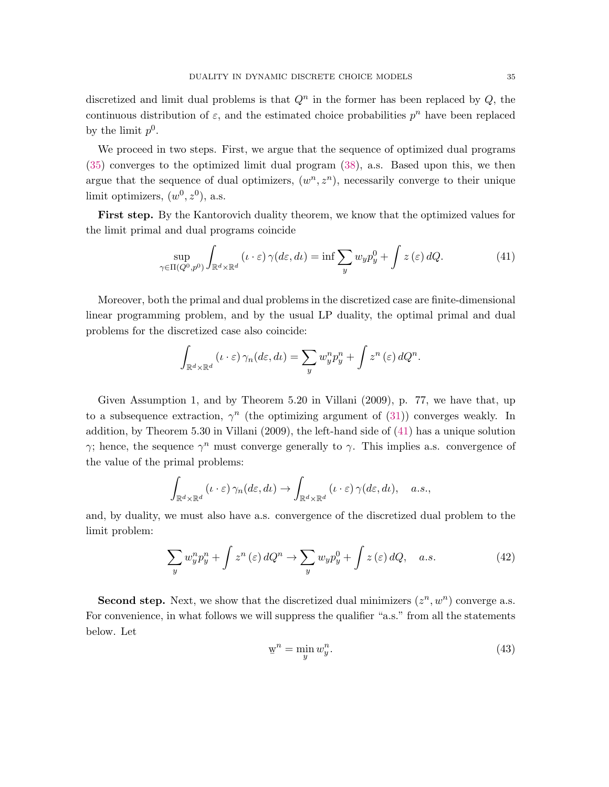discretized and limit dual problems is that  $Q<sup>n</sup>$  in the former has been replaced by  $Q$ , the continuous distribution of  $\varepsilon$ , and the estimated choice probabilities  $p^n$  have been replaced by the limit  $p^0$ .

We proceed in two steps. First, we argue that the sequence of optimized dual programs [\(35\)](#page-34-2) converges to the optimized limit dual program [\(38\)](#page-34-3), a.s. Based upon this, we then argue that the sequence of dual optimizers,  $(w^n, z^n)$ , necessarily converge to their unique limit optimizers,  $(w^0, z^0)$ , a.s.

First step. By the Kantorovich duality theorem, we know that the optimized values for the limit primal and dual programs coincide

<span id="page-35-0"></span>
$$
\sup_{\gamma \in \Pi(Q^0, p^0)} \int_{\mathbb{R}^d \times \mathbb{R}^d} (\iota \cdot \varepsilon) \gamma(d\varepsilon, d\varepsilon) = \inf \sum_y w_y p_y^0 + \int z(\varepsilon) dQ. \tag{41}
$$

Moreover, both the primal and dual problems in the discretized case are finite-dimensional linear programming problem, and by the usual LP duality, the optimal primal and dual problems for the discretized case also coincide:

$$
\int_{\mathbb{R}^d \times \mathbb{R}^d} (\iota \cdot \varepsilon) \gamma_n(d\varepsilon, d\varepsilon) = \sum_y w_y^n p_y^n + \int z^n(\varepsilon) dQ^n.
$$

Given Assumption 1, and by Theorem 5.20 in Villani (2009), p. 77, we have that, up to a subsequence extraction,  $\gamma^n$  (the optimizing argument of [\(31\)](#page-33-2)) converges weakly. In addition, by Theorem 5.30 in Villani (2009), the left-hand side of [\(41\)](#page-35-0) has a unique solution  $γ$ ; hence, the sequence  $γ<sup>n</sup>$  must converge generally to  $γ$ . This implies a.s. convergence of the value of the primal problems:

$$
\int_{\mathbb{R}^d \times \mathbb{R}^d} (\iota \cdot \varepsilon) \, \gamma_n(d\varepsilon, d\iota) \to \int_{\mathbb{R}^d \times \mathbb{R}^d} (\iota \cdot \varepsilon) \, \gamma(d\varepsilon, d\iota), \quad a.s.,
$$

and, by duality, we must also have a.s. convergence of the discretized dual problem to the limit problem:

<span id="page-35-2"></span>
$$
\sum_{y} w_{y}^{n} p_{y}^{n} + \int z^{n} \left(\varepsilon\right) dQ^{n} \to \sum_{y} w_{y} p_{y}^{0} + \int z \left(\varepsilon\right) dQ, \quad a.s. \tag{42}
$$

**Second step.** Next, we show that the discretized dual minimizers  $(z^n, w^n)$  converge a.s. For convenience, in what follows we will suppress the qualifier "a.s." from all the statements below. Let

<span id="page-35-1"></span>
$$
\underline{\mathbf{w}}^n = \min_{y} w_y^n. \tag{43}
$$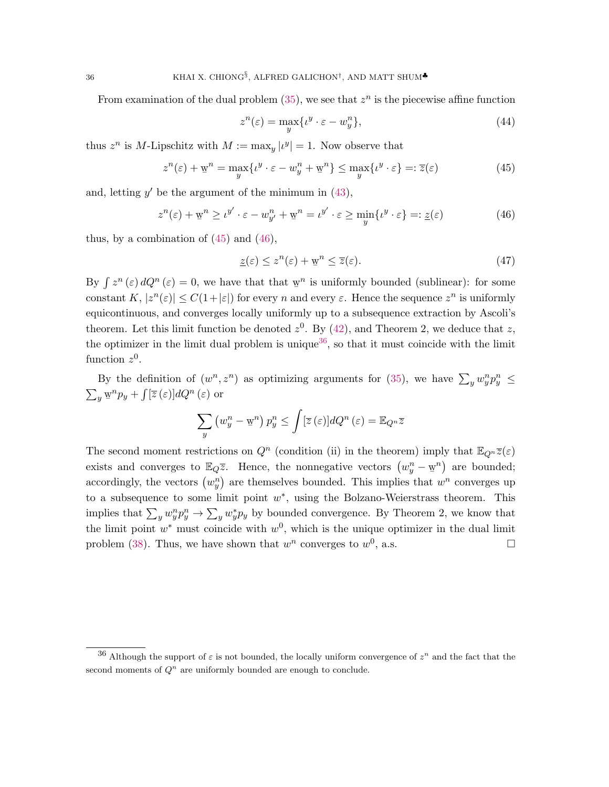From examination of the dual problem  $(35)$ , we see that  $z<sup>n</sup>$  is the piecewise affine function

$$
z^n(\varepsilon) = \max_{y} \{ \iota^y \cdot \varepsilon - w_y^n \},\tag{44}
$$

thus  $z^n$  is M-Lipschitz with  $M := \max_y |v^y| = 1$ . Now observe that

<span id="page-36-0"></span>
$$
z^{n}(\varepsilon) + \mathbf{w}^{n} = \max_{y} \{ \iota^{y} \cdot \varepsilon - w_{y}^{n} + \mathbf{w}^{n} \} \le \max_{y} \{ \iota^{y} \cdot \varepsilon \} =: \overline{z}(\varepsilon)
$$
 (45)

and, letting  $y'$  be the argument of the minimum in  $(43)$ ,

<span id="page-36-1"></span>
$$
z^{n}(\varepsilon) + \underline{w}^{n} \geq \iota^{y'} \cdot \varepsilon - w_{y'}^{n} + \underline{w}^{n} = \iota^{y'} \cdot \varepsilon \geq \min_{y} \{ \iota^{y} \cdot \varepsilon \} =: \underline{z}(\varepsilon)
$$
 (46)

thus, by a combination of  $(45)$  and  $(46)$ ,

$$
\underline{z}(\varepsilon) \le z^n(\varepsilon) + \underline{w}^n \le \overline{z}(\varepsilon). \tag{47}
$$

By  $\int z^n(\varepsilon) dQ^n(\varepsilon) = 0$ , we have that that  $\Psi^n$  is uniformly bounded (sublinear): for some **≃** constant  $K, |z^n(\varepsilon)| \leq C(1+|\varepsilon|)$  for every n and every  $\varepsilon$ . Hence the sequence  $z^n$  is uniformly equicontinuous, and converges locally uniformly up to a subsequence extraction by Ascoli's theorem. Let this limit function be denoted  $z^0$ . By [\(42\)](#page-35-2), and Theorem 2, we deduce that z, the optimizer in the limit dual problem is unique<sup>[36](#page-36-2)</sup>, so that it must coincide with the limit function  $z^0$ .

By the definition of  $(w^n, z^n)$  as optimizing arguments for [\(35\)](#page-34-2), we have  $\sum_y w_y^n p_y^n \leq$  $\sum_{y} \mathbf{w}^{n} p_{y} + \int [\overline{z}(\varepsilon)] dQ^{n}(\varepsilon)$  or

$$
\sum_{y} \left( w_y^n - \mathbf{w}^n \right) p_y^n \le \int [\overline{z}(\varepsilon)] dQ^n(\varepsilon) = \mathbb{E}_{Q^n} \overline{z}
$$

The second moment restrictions on  $Q^n$  (condition (ii) in the theorem) imply that  $\mathbb{E}_{Q^n}\overline{z}(\varepsilon)$ exists and converges to  $\mathbb{E}_Q \overline{z}$ . Hence, the nonnegative vectors  $(w_y^n - \underline{w}^n)$  are bounded; accordingly, the vectors  $(w_y^n)$  are themselves bounded. This implies that  $w^n$  converges up to a subsequence to some limit point  $w^*$ , using the Bolzano-Weierstrass theorem. This implies that  $\sum_y w_y^n p_y^n \to \sum_y w_y^* p_y$  by bounded convergence. By Theorem 2, we know that the limit point  $w^*$  must coincide with  $w^0$ , which is the unique optimizer in the dual limit problem [\(38\)](#page-34-3). Thus, we have shown that  $w^n$  converges to  $w^0$ , a.s.

<span id="page-36-2"></span><sup>&</sup>lt;sup>36</sup> Although the support of  $\varepsilon$  is not bounded, the locally uniform convergence of  $z^n$  and the fact that the second moments of  $Q<sup>n</sup>$  are uniformly bounded are enough to conclude.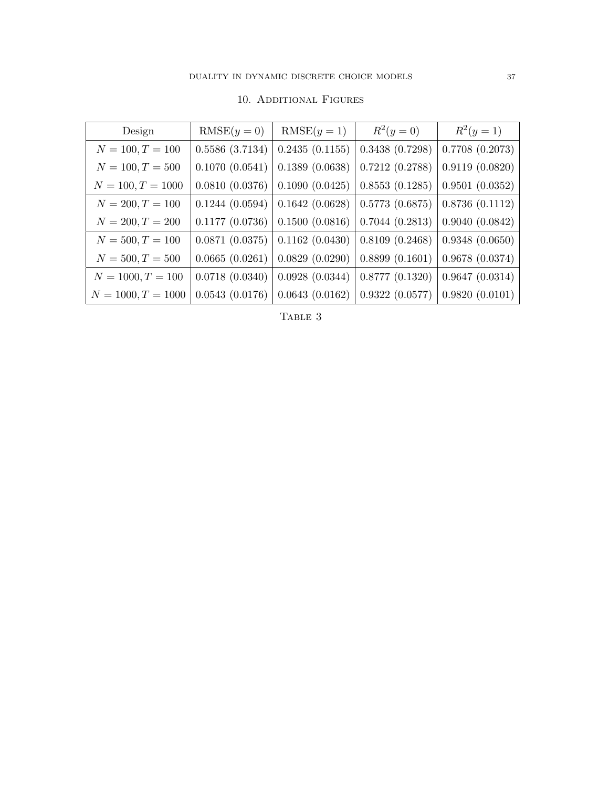| Design               | $RMSE(y = 0)$  | $RMSE(y = 1)$  | $R^2(y=0)$     | $R^2(y=1)$     |
|----------------------|----------------|----------------|----------------|----------------|
| $N = 100, T = 100$   | 0.5586(3.7134) | 0.2435(0.1155) | 0.3438(0.7298) | 0.7708(0.2073) |
| $N = 100, T = 500$   | 0.1070(0.0541) | 0.1389(0.0638) | 0.7212(0.2788) | 0.9119(0.0820) |
| $N = 100, T = 1000$  | 0.0810(0.0376) | 0.1090(0.0425) | 0.8553(0.1285) | 0.9501(0.0352) |
| $N = 200, T = 100$   | 0.1244(0.0594) | 0.1642(0.0628) | 0.5773(0.6875) | 0.8736(0.1112) |
| $N = 200, T = 200$   | 0.1177(0.0736) | 0.1500(0.0816) | 0.7044(0.2813) | 0.9040(0.0842) |
| $N = 500, T = 100$   | 0.0871(0.0375) | 0.1162(0.0430) | 0.8109(0.2468) | 0.9348(0.0650) |
| $N = 500, T = 500$   | 0.0665(0.0261) | 0.0829(0.0290) | 0.8899(0.1601) | 0.9678(0.0374) |
| $N = 1000, T = 100$  | 0.0718(0.0340) | 0.0928(0.0344) | 0.8777(0.1320) | 0.9647(0.0314) |
| $N = 1000, T = 1000$ | 0.0543(0.0176) | 0.0643(0.0162) | 0.9322(0.0577) | 0.9820(0.0101) |

# 10. Additional Figures

TABLE 3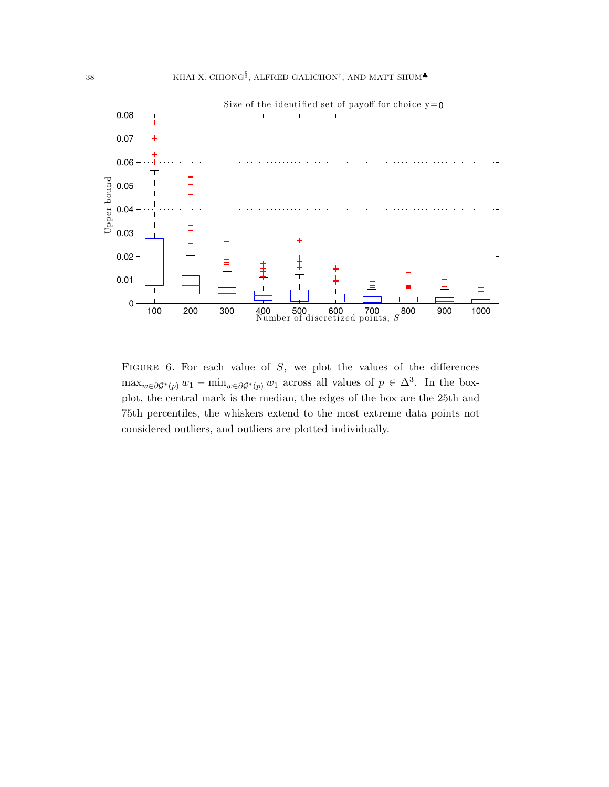<span id="page-38-0"></span>

FIGURE 6. For each value of  $S$ , we plot the values of the differences  $\max_{w \in \partial \mathcal{G}^*(p)} w_1 - \min_{w \in \partial \mathcal{G}^*(p)} w_1$  across all values of  $p \in \Delta^3$ . In the boxplot, the central mark is the median, the edges of the box are the 25th and 75th percentiles, the whiskers extend to the most extreme data points not considered outliers, and outliers are plotted individually.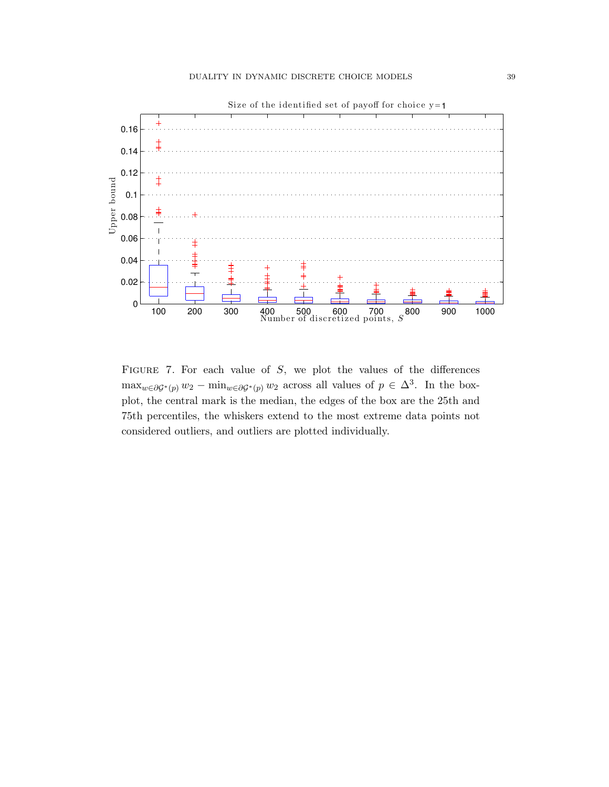<span id="page-39-0"></span>

FIGURE 7. For each value of  $S$ , we plot the values of the differences  $\max_{w \in \partial \mathcal{G}^*(p)} w_2 - \min_{w \in \partial \mathcal{G}^*(p)} w_2$  across all values of  $p \in \Delta^3$ . In the boxplot, the central mark is the median, the edges of the box are the 25th and 75th percentiles, the whiskers extend to the most extreme data points not considered outliers, and outliers are plotted individually.